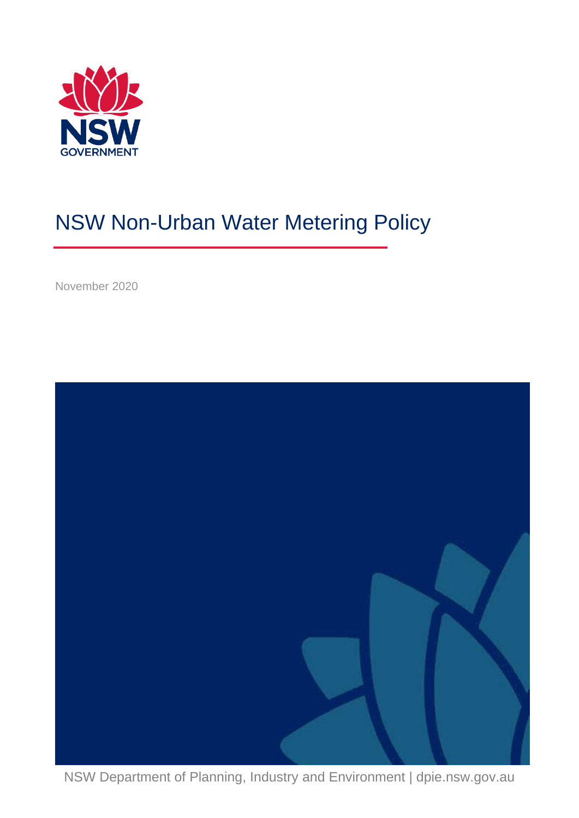

# NSW Non-Urban Water Metering Policy

November 2020



NSW Department of Planning, Industry and Environment | dpie.nsw.gov.au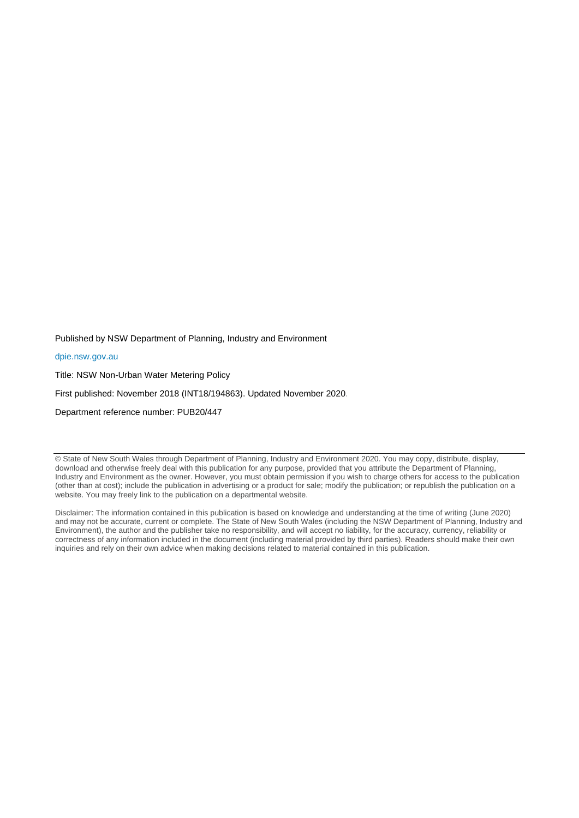Published by NSW Department of Planning, Industry and Environment

#### [dpie.nsw.gov.au](http://www.dpie.nsw.gov.au/)

Title: NSW Non-Urban Water Metering Policy

First published: November 2018 (INT18/194863). Updated November 2020.

Department reference number: PUB20/447

© State of New South Wales through Department of Planning, Industry and Environment 2020. You may copy, distribute, display, download and otherwise freely deal with this publication for any purpose, provided that you attribute the Department of Planning, Industry and Environment as the owner. However, you must obtain permission if you wish to charge others for access to the publication (other than at cost); include the publication in advertising or a product for sale; modify the publication; or republish the publication on a website. You may freely link to the publication on a departmental website.

Disclaimer: The information contained in this publication is based on knowledge and understanding at the time of writing (June 2020) and may not be accurate, current or complete. The State of New South Wales (including the NSW Department of Planning, Industry and Environment), the author and the publisher take no responsibility, and will accept no liability, for the accuracy, currency, reliability or correctness of any information included in the document (including material provided by third parties). Readers should make their own inquiries and rely on their own advice when making decisions related to material contained in this publication.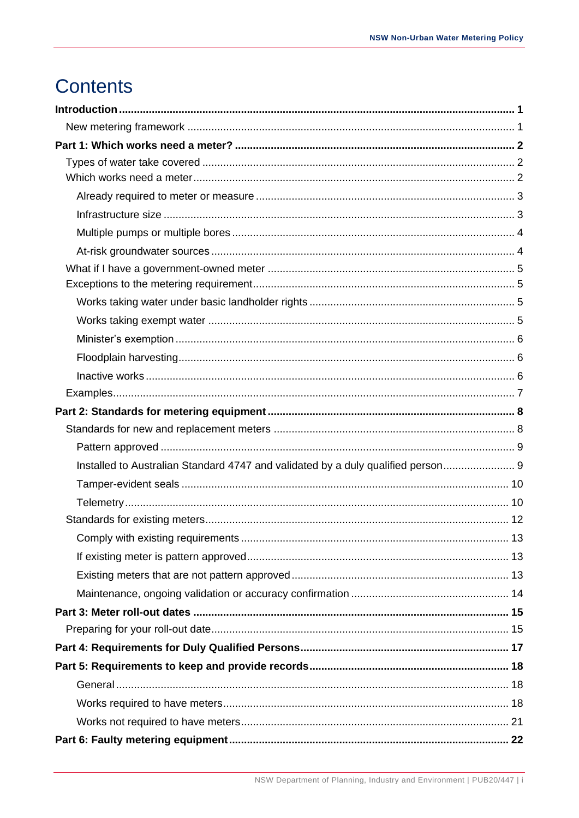# **Contents**

| Installed to Australian Standard 4747 and validated by a duly qualified person 9 |  |
|----------------------------------------------------------------------------------|--|
|                                                                                  |  |
|                                                                                  |  |
|                                                                                  |  |
|                                                                                  |  |
|                                                                                  |  |
|                                                                                  |  |
|                                                                                  |  |
|                                                                                  |  |
|                                                                                  |  |
|                                                                                  |  |
|                                                                                  |  |
|                                                                                  |  |
|                                                                                  |  |
|                                                                                  |  |
|                                                                                  |  |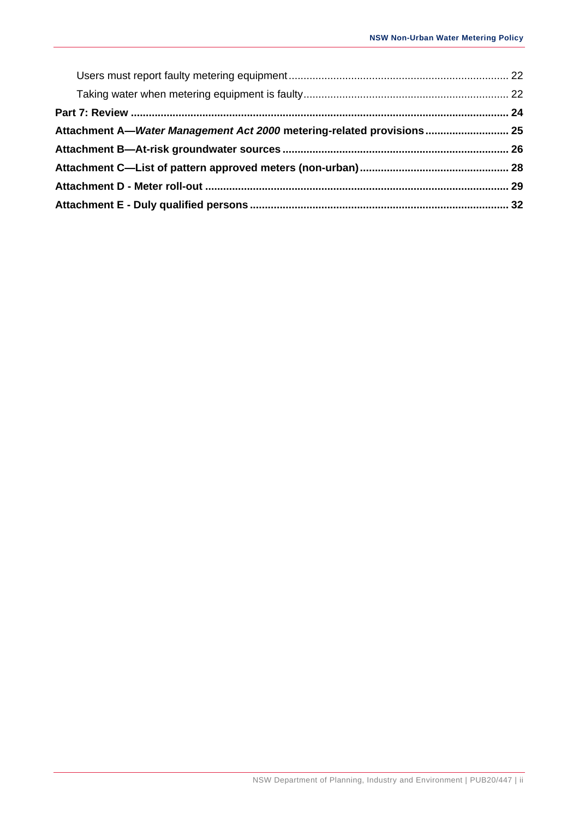| Attachment A-Water Management Act 2000 metering-related provisions 25 |  |
|-----------------------------------------------------------------------|--|
|                                                                       |  |
|                                                                       |  |
|                                                                       |  |
|                                                                       |  |
|                                                                       |  |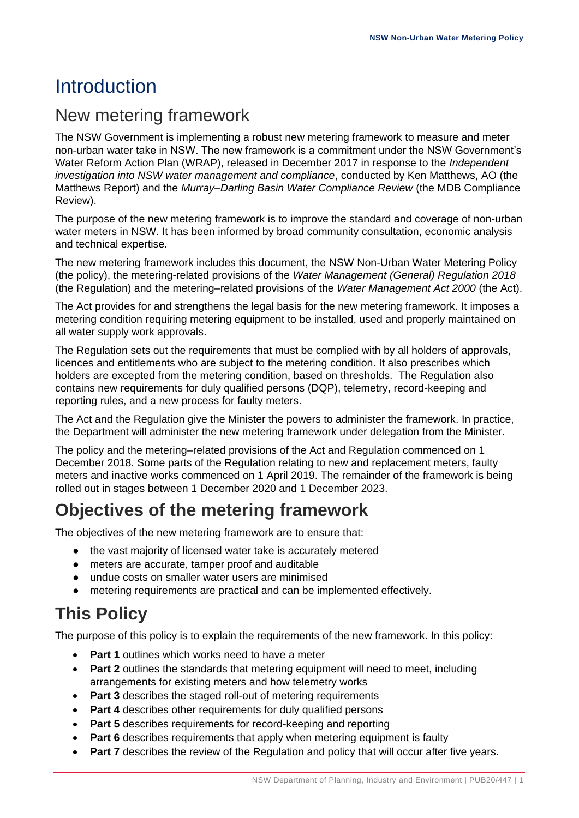# <span id="page-4-0"></span>**Introduction**

# <span id="page-4-1"></span>New metering framework

The NSW Government is implementing a robust new metering framework to measure and meter non-urban water take in NSW. The new framework is a commitment under the NSW Government's Water Reform Action Plan (WRAP), released in December 2017 in response to the *Independent investigation into NSW water management and compliance*, conducted by Ken Matthews, AO (the Matthews Report) and the *Murray–Darling Basin Water Compliance Review* (the MDB Compliance Review).

The purpose of the new metering framework is to improve the standard and coverage of non-urban water meters in NSW. It has been informed by broad community consultation, economic analysis and technical expertise.

The new metering framework includes this document, the NSW Non-Urban Water Metering Policy (the policy), the metering-related provisions of the *Water Management (General) Regulation 2018* (the Regulation) and the metering–related provisions of the *Water Management Act 2000* (the Act).

The Act provides for and strengthens the legal basis for the new metering framework. It imposes a metering condition requiring metering equipment to be installed, used and properly maintained on all water supply work approvals.

The Regulation sets out the requirements that must be complied with by all holders of approvals, licences and entitlements who are subject to the metering condition. It also prescribes which holders are excepted from the metering condition, based on thresholds. The Regulation also contains new requirements for duly qualified persons (DQP), telemetry, record-keeping and reporting rules, and a new process for faulty meters.

The Act and the Regulation give the Minister the powers to administer the framework. In practice, the Department will administer the new metering framework under delegation from the Minister.

The policy and the metering–related provisions of the Act and Regulation commenced on 1 December 2018. Some parts of the Regulation relating to new and replacement meters, faulty meters and inactive works commenced on 1 April 2019. The remainder of the framework is being rolled out in stages between 1 December 2020 and 1 December 2023.

# **Objectives of the metering framework**

The objectives of the new metering framework are to ensure that:

- the vast majority of licensed water take is accurately metered
- meters are accurate, tamper proof and auditable
- undue costs on smaller water users are minimised
- metering requirements are practical and can be implemented effectively.

# **This Policy**

The purpose of this policy is to explain the requirements of the new framework. In this policy:

- **Part 1** outlines which works need to have a meter
- **Part 2** outlines the standards that metering equipment will need to meet, including arrangements for existing meters and how telemetry works
- **Part 3** describes the staged roll-out of metering requirements
- **Part 4** describes other requirements for duly qualified persons
- **Part 5** describes requirements for record-keeping and reporting
- **Part 6** describes requirements that apply when metering equipment is faulty
- **Part 7** describes the review of the Regulation and policy that will occur after five years.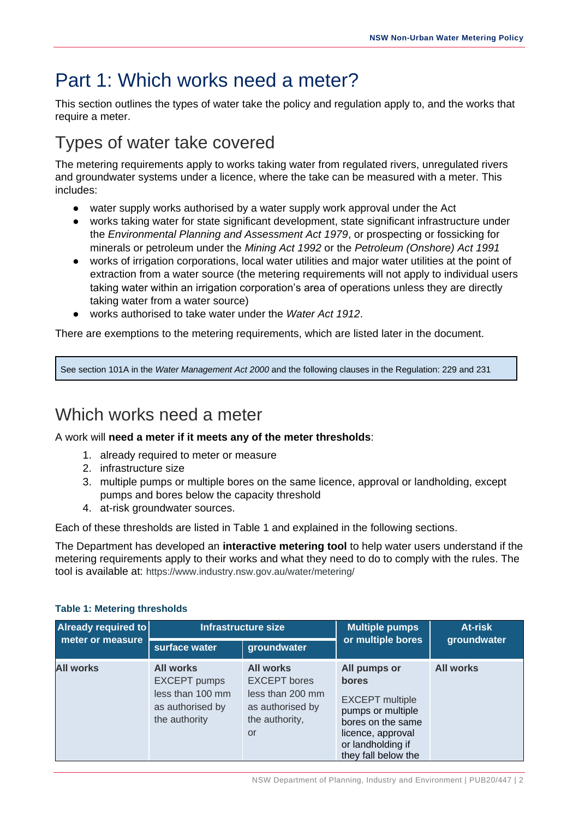# <span id="page-5-0"></span>Part 1: Which works need a meter?

This section outlines the types of water take the policy and regulation apply to, and the works that require a meter.

# <span id="page-5-1"></span>Types of water take covered

The metering requirements apply to works taking water from regulated rivers, unregulated rivers and groundwater systems under a licence, where the take can be measured with a meter. This includes:

- water supply works authorised by a water supply work approval under the Act
- works taking water for state significant development, state significant infrastructure under the *Environmental Planning and Assessment Act 1979*, or prospecting or fossicking for minerals or petroleum under the *Mining Act 1992* or the *Petroleum (Onshore) Act 1991*
- works of irrigation corporations, local water utilities and major water utilities at the point of extraction from a water source (the metering requirements will not apply to individual users taking water within an irrigation corporation's area of operations unless they are directly taking water from a water source)
- works authorised to take water under the *Water Act 1912*.

There are exemptions to the metering requirements, which are listed later in the document.

See section 101A in the *Water Management Act 2000* and the following clauses in the Regulation: 229 and 231

# <span id="page-5-2"></span>Which works need a meter

A work will **need a meter if it meets any of the meter thresholds**:

- 1. already required to meter or measure
- 2. infrastructure size
- 3. multiple pumps or multiple bores on the same licence, approval or landholding, except pumps and bores below the capacity threshold
- 4. at-risk groundwater sources.

Each of these thresholds are listed in Table 1 and explained in the following sections.

The Department has developed an **[interactive metering tool](https://forms.gle/Tc9wfVbBF19p4y8g6)** to help water users understand if the metering requirements apply to their works and what they need to do to comply with the rules. The tool is available at: [https://www.industry.nsw.gov.au/water/metering/](https://www.google.com/url?q=https://www.industry.nsw.gov.au/water/metering/&sa=D&source=hangouts&ust=1592629977582000&usg=AFQjCNGGLUuuVcOqGyzjxurDvwuM0t4Jiw)

| Already required to |                                                                                                  | Infrastructure size                                                                                     | <b>Multiple pumps</b>                                                                                                                                      | At-risk          |  |
|---------------------|--------------------------------------------------------------------------------------------------|---------------------------------------------------------------------------------------------------------|------------------------------------------------------------------------------------------------------------------------------------------------------------|------------------|--|
| meter or measure    | surface water                                                                                    | groundwater                                                                                             | or multiple bores                                                                                                                                          | groundwater      |  |
| <b>All works</b>    | <b>All works</b><br><b>EXCEPT</b> pumps<br>less than 100 mm<br>as authorised by<br>the authority | <b>All works</b><br><b>EXCEPT</b> bores<br>less than 200 mm<br>as authorised by<br>the authority,<br>or | All pumps or<br>bores<br><b>EXCEPT</b> multiple<br>pumps or multiple<br>bores on the same<br>licence, approval<br>or landholding if<br>they fall below the | <b>All works</b> |  |

#### **Table 1: Metering thresholds**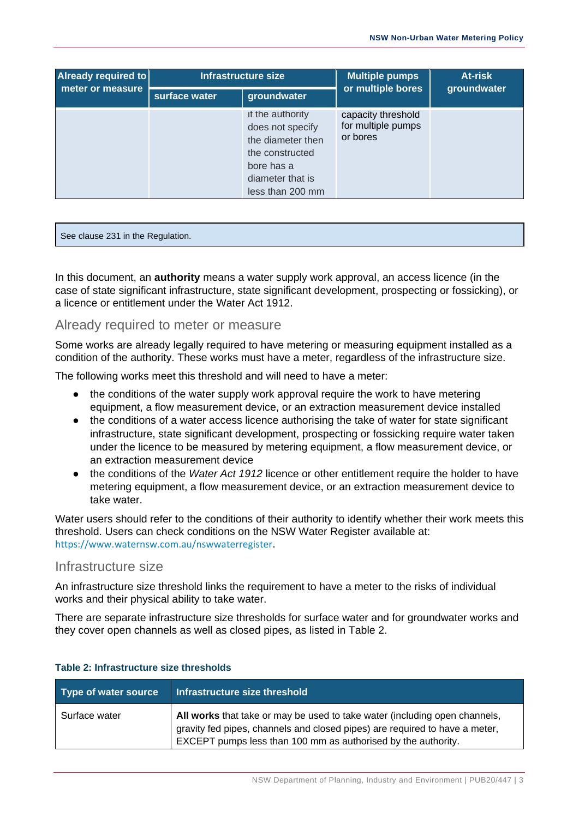| Already required to | Infrastructure size |                                                                                                                                    | <b>Multiple pumps</b>                                | At-risk     |  |
|---------------------|---------------------|------------------------------------------------------------------------------------------------------------------------------------|------------------------------------------------------|-------------|--|
| meter or measure    | surface water       | groundwater                                                                                                                        | or multiple bores                                    | groundwater |  |
|                     |                     | if the authority<br>does not specify<br>the diameter then<br>the constructed<br>bore has a<br>diameter that is<br>less than 200 mm | capacity threshold<br>for multiple pumps<br>or bores |             |  |

See clause 231 in the Regulation.

In this document, an **authority** means a water supply work approval, an access licence (in the case of state significant infrastructure, state significant development, prospecting or fossicking), or a licence or entitlement under the Water Act 1912.

#### <span id="page-6-0"></span>Already required to meter or measure

Some works are already legally required to have metering or measuring equipment installed as a condition of the authority. These works must have a meter, regardless of the infrastructure size.

The following works meet this threshold and will need to have a meter:

- the conditions of the water supply work approval require the work to have metering equipment, a flow measurement device, or an extraction measurement device installed
- the conditions of a water access licence authorising the take of water for state significant infrastructure, state significant development, prospecting or fossicking require water taken under the licence to be measured by metering equipment, a flow measurement device, or an extraction measurement device
- the conditions of the *Water Act 1912* licence or other entitlement require the holder to have metering equipment, a flow measurement device, or an extraction measurement device to take water.

Water users should refer to the conditions of their authority to identify whether their work meets this threshold. Users can check conditions on the NSW Water Register available at: <https://www.waternsw.com.au/nswwaterregister>.

### <span id="page-6-1"></span>Infrastructure size

An infrastructure size threshold links the requirement to have a meter to the risks of individual works and their physical ability to take water.

There are separate infrastructure size thresholds for surface water and for groundwater works and they cover open channels as well as closed pipes, as listed in Table 2.

| Type of water source | Infrastructure size threshold                                                                                                                                                                                              |
|----------------------|----------------------------------------------------------------------------------------------------------------------------------------------------------------------------------------------------------------------------|
| Surface water        | All works that take or may be used to take water (including open channels,<br>gravity fed pipes, channels and closed pipes) are required to have a meter,<br>EXCEPT pumps less than 100 mm as authorised by the authority. |

#### **Table 2: Infrastructure size thresholds**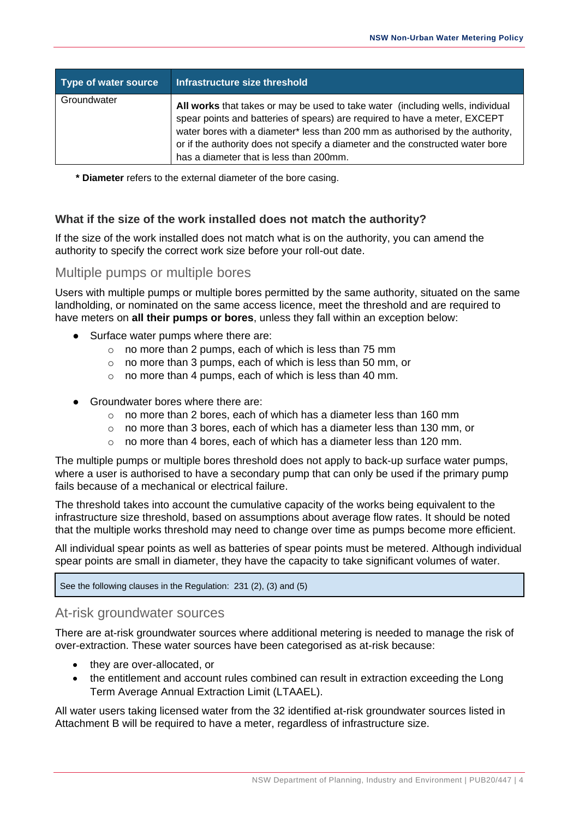| Type of water source | Infrastructure size threshold                                                                                                                                                                                                                                                                                                                                              |
|----------------------|----------------------------------------------------------------------------------------------------------------------------------------------------------------------------------------------------------------------------------------------------------------------------------------------------------------------------------------------------------------------------|
| Groundwater          | All works that takes or may be used to take water (including wells, individual<br>spear points and batteries of spears) are required to have a meter, EXCEPT<br>water bores with a diameter* less than 200 mm as authorised by the authority,<br>or if the authority does not specify a diameter and the constructed water bore<br>has a diameter that is less than 200mm. |

**\* Diameter** refers to the external diameter of the bore casing.

#### **What if the size of the work installed does not match the authority?**

If the size of the work installed does not match what is on the authority, you can amend the authority to specify the correct work size before your roll-out date.

### <span id="page-7-0"></span>Multiple pumps or multiple bores

Users with multiple pumps or multiple bores permitted by the same authority, situated on the same landholding, or nominated on the same access licence, meet the threshold and are required to have meters on **all their pumps or bores**, unless they fall within an exception below:

- Surface water pumps where there are:
	- o no more than 2 pumps, each of which is less than 75 mm
	- o no more than 3 pumps, each of which is less than 50 mm, or
	- o no more than 4 pumps, each of which is less than 40 mm.
- Groundwater bores where there are:
	- o no more than 2 bores, each of which has a diameter less than 160 mm
	- $\circ$  no more than 3 bores, each of which has a diameter less than 130 mm, or
	- o no more than 4 bores, each of which has a diameter less than 120 mm.

The multiple pumps or multiple bores threshold does not apply to back-up surface water pumps, where a user is authorised to have a secondary pump that can only be used if the primary pump fails because of a mechanical or electrical failure.

The threshold takes into account the cumulative capacity of the works being equivalent to the infrastructure size threshold, based on assumptions about average flow rates. It should be noted that the multiple works threshold may need to change over time as pumps become more efficient.

All individual spear points as well as batteries of spear points must be metered. Although individual spear points are small in diameter, they have the capacity to take significant volumes of water.

See the following clauses in the Regulation: 231 (2), (3) and (5)

## <span id="page-7-1"></span>At-risk groundwater sources

There are at-risk groundwater sources where additional metering is needed to manage the risk of over-extraction. These water sources have been categorised as at-risk because:

- they are over-allocated, or
- the entitlement and account rules combined can result in extraction exceeding the Long Term Average Annual Extraction Limit (LTAAEL).

All water users taking licensed water from the 32 identified at-risk groundwater sources listed in Attachment B will be required to have a meter, regardless of infrastructure size.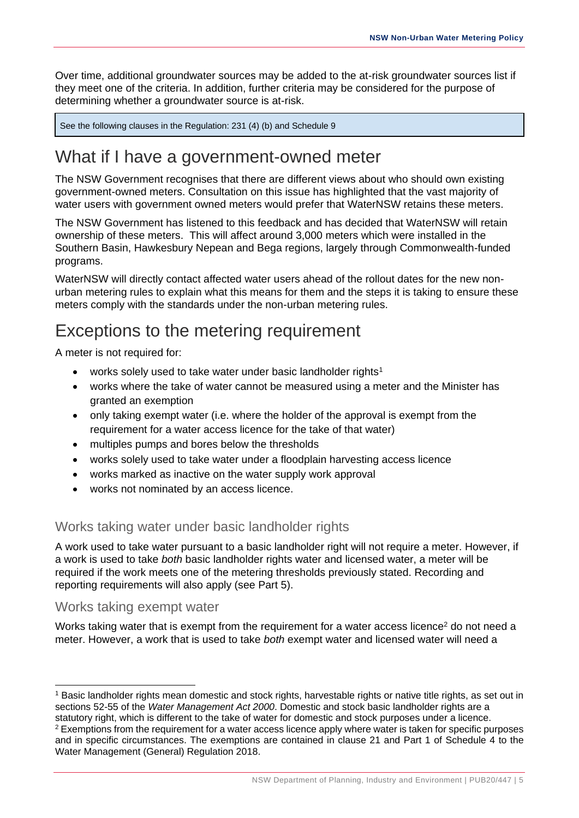Over time, additional groundwater sources may be added to the at-risk groundwater sources list if they meet one of the criteria. In addition, further criteria may be considered for the purpose of determining whether a groundwater source is at-risk.

See the following clauses in the Regulation: 231 (4) (b) and Schedule 9

# <span id="page-8-0"></span>What if I have a government-owned meter

<span id="page-8-1"></span>The NSW Government recognises that there are different views about who should own existing government-owned meters. Consultation on this issue has highlighted that the vast majority of water users with government owned meters would prefer that WaterNSW retains these meters.

The NSW Government has listened to this feedback and has decided that WaterNSW will retain ownership of these meters. This will affect around 3,000 meters which were installed in the Southern Basin, Hawkesbury Nepean and Bega regions, largely through Commonwealth-funded programs.

WaterNSW will directly contact affected water users ahead of the rollout dates for the new nonurban metering rules to explain what this means for them and the steps it is taking to ensure these meters comply with the standards under the non-urban metering rules.

# Exceptions to the metering requirement

A meter is not required for:

- works solely used to take water under basic landholder rights<sup>1</sup>
- works where the take of water cannot be measured using a meter and the Minister has granted an exemption
- only taking exempt water (i.e. where the holder of the approval is exempt from the requirement for a water access licence for the take of that water)
- multiples pumps and bores below the thresholds
- works solely used to take water under a floodplain harvesting access licence
- works marked as inactive on the water supply work approval
- works not nominated by an access licence.

## <span id="page-8-2"></span>Works taking water under basic landholder rights

A work used to take water pursuant to a basic landholder right will not require a meter. However, if a work is used to take *both* basic landholder rights water and licensed water, a meter will be required if the work meets one of the metering thresholds previously stated. Recording and reporting requirements will also apply (see Part 5).

#### <span id="page-8-3"></span>Works taking exempt water

Works taking water that is exempt from the requirement for a water access licence<sup>2</sup> do not need a meter. However, a work that is used to take *both* exempt water and licensed water will need a

<sup>&</sup>lt;sup>1</sup> Basic landholder rights mean domestic and stock rights, harvestable rights or native title rights, as set out in sections 52-55 of the *Water Management Act 2000*. Domestic and stock basic landholder rights are a statutory right, which is different to the take of water for domestic and stock purposes under a licence. <sup>2</sup> Exemptions from the requirement for a water access licence apply where water is taken for specific purposes and in specific circumstances. The exemptions are contained in clause 21 and Part 1 of Schedule 4 to the Water Management (General) Regulation 2018.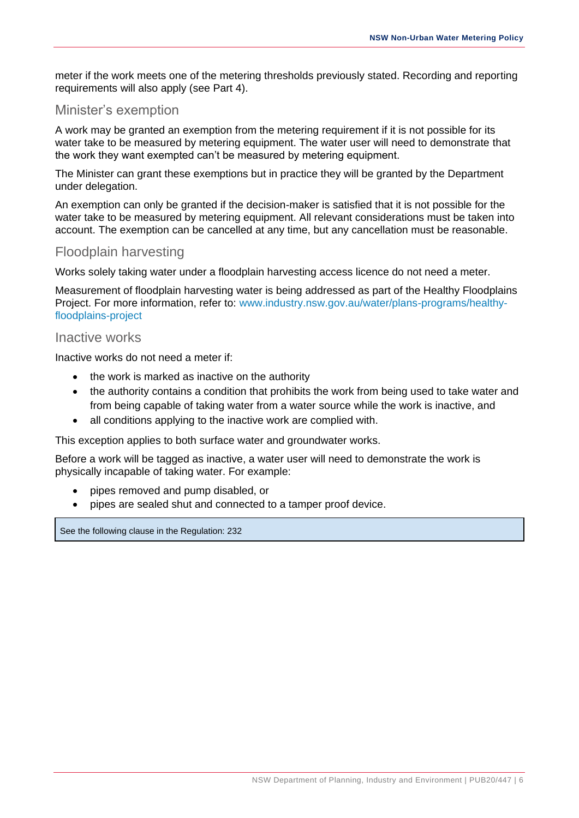meter if the work meets one of the metering thresholds previously stated. Recording and reporting requirements will also apply (see Part 4).

## <span id="page-9-0"></span>Minister's exemption

A work may be granted an exemption from the metering requirement if it is not possible for its water take to be measured by metering equipment. The water user will need to demonstrate that the work they want exempted can't be measured by metering equipment.

The Minister can grant these exemptions but in practice they will be granted by the Department under delegation.

An exemption can only be granted if the decision-maker is satisfied that it is not possible for the water take to be measured by metering equipment. All relevant considerations must be taken into account. The exemption can be cancelled at any time, but any cancellation must be reasonable.

## <span id="page-9-1"></span>Floodplain harvesting

Works solely taking water under a floodplain harvesting access licence do not need a meter.

Measurement of floodplain harvesting water is being addressed as part of the Healthy Floodplains Project. For more information, refer to: [www.industry.nsw.gov.au/water/plans-programs/healthy](https://www.industry.nsw.gov.au/water/plans-programs/healthy-floodplains-project)[floodplains-project](https://www.industry.nsw.gov.au/water/plans-programs/healthy-floodplains-project)

#### <span id="page-9-2"></span>Inactive works

Inactive works do not need a meter if:

- the work is marked as inactive on the authority
- the authority contains a condition that prohibits the work from being used to take water and from being capable of taking water from a water source while the work is inactive, and
- all conditions applying to the inactive work are complied with.

This exception applies to both surface water and groundwater works.

Before a work will be tagged as inactive, a water user will need to demonstrate the work is physically incapable of taking water. For example:

- pipes removed and pump disabled, or
- pipes are sealed shut and connected to a tamper proof device.

See the following clause in the Regulation: 232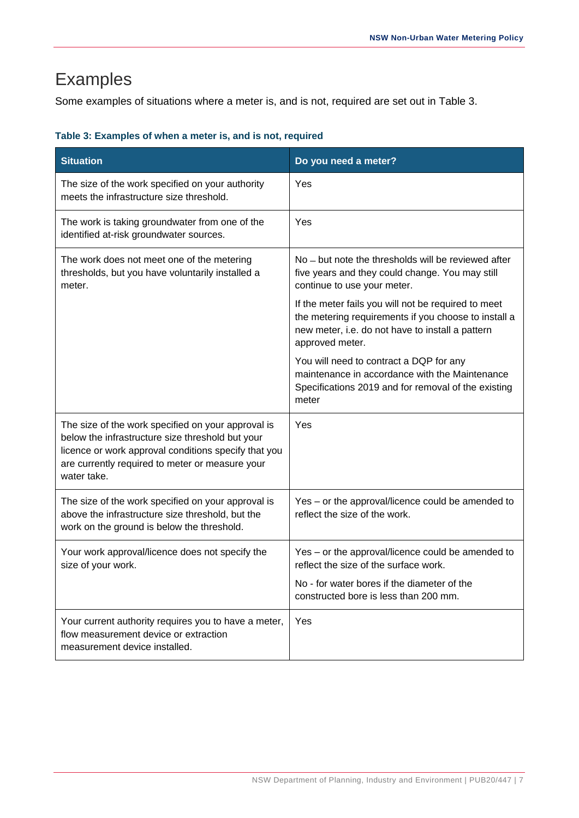# <span id="page-10-0"></span>Examples

Some examples of situations where a meter is, and is not, required are set out in Table 3.

| Table 3: Examples of when a meter is, and is not, required |  |  |
|------------------------------------------------------------|--|--|
|------------------------------------------------------------|--|--|

| <b>Situation</b>                                                                                                                                                                                                                 | Do you need a meter?                                                                                                                                                               |
|----------------------------------------------------------------------------------------------------------------------------------------------------------------------------------------------------------------------------------|------------------------------------------------------------------------------------------------------------------------------------------------------------------------------------|
| The size of the work specified on your authority<br>meets the infrastructure size threshold.                                                                                                                                     | Yes                                                                                                                                                                                |
| The work is taking groundwater from one of the<br>identified at-risk groundwater sources.                                                                                                                                        | Yes                                                                                                                                                                                |
| The work does not meet one of the metering<br>thresholds, but you have voluntarily installed a<br>meter.                                                                                                                         | No - but note the thresholds will be reviewed after<br>five years and they could change. You may still<br>continue to use your meter.                                              |
|                                                                                                                                                                                                                                  | If the meter fails you will not be required to meet<br>the metering requirements if you choose to install a<br>new meter, i.e. do not have to install a pattern<br>approved meter. |
|                                                                                                                                                                                                                                  | You will need to contract a DQP for any<br>maintenance in accordance with the Maintenance<br>Specifications 2019 and for removal of the existing<br>meter                          |
| The size of the work specified on your approval is<br>below the infrastructure size threshold but your<br>licence or work approval conditions specify that you<br>are currently required to meter or measure your<br>water take. | Yes                                                                                                                                                                                |
| The size of the work specified on your approval is<br>above the infrastructure size threshold, but the<br>work on the ground is below the threshold.                                                                             | Yes – or the approval/licence could be amended to<br>reflect the size of the work.                                                                                                 |
| Your work approval/licence does not specify the<br>size of your work.                                                                                                                                                            | Yes – or the approval/licence could be amended to<br>reflect the size of the surface work.                                                                                         |
|                                                                                                                                                                                                                                  | No - for water bores if the diameter of the<br>constructed bore is less than 200 mm.                                                                                               |
| Your current authority requires you to have a meter,<br>flow measurement device or extraction<br>measurement device installed.                                                                                                   | Yes                                                                                                                                                                                |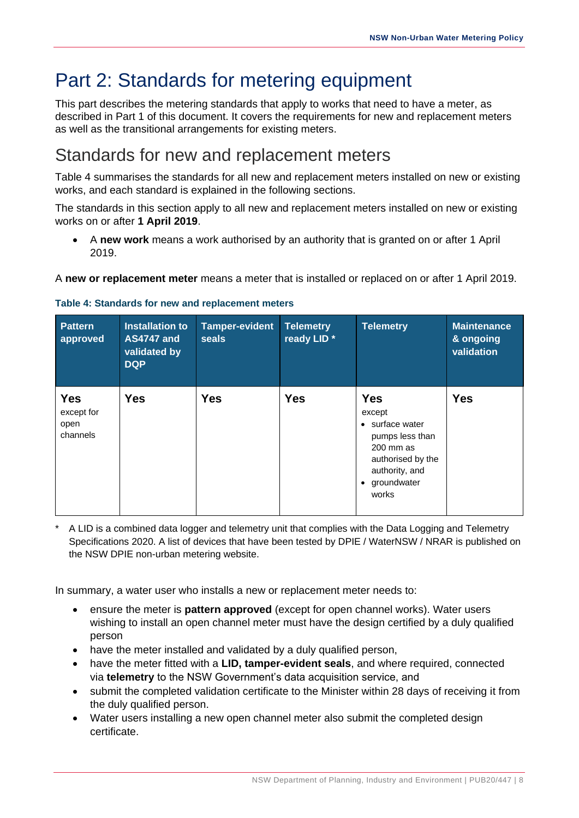# <span id="page-11-0"></span>Part 2: Standards for metering equipment

This part describes the metering standards that apply to works that need to have a meter, as described in Part 1 of this document. It covers the requirements for new and replacement meters as well as the transitional arrangements for existing meters.

# <span id="page-11-1"></span>Standards for new and replacement meters

Table 4 summarises the standards for all new and replacement meters installed on new or existing works, and each standard is explained in the following sections.

The standards in this section apply to all new and replacement meters installed on new or existing works on or after **1 April 2019**.

• A **new work** means a work authorised by an authority that is granted on or after 1 April 2019.

A **new or replacement meter** means a meter that is installed or replaced on or after 1 April 2019.

| <b>Pattern</b><br>approved                   | Installation to<br><b>AS4747 and</b><br>validated by<br><b>DQP</b> | <b>Tamper-evident</b><br>seals | <b>Telemetry</b><br>ready LID <sup>*</sup> | <b>Telemetry</b>                                                                                                                                               | <b>Maintenance</b><br>& ongoing<br>validation |
|----------------------------------------------|--------------------------------------------------------------------|--------------------------------|--------------------------------------------|----------------------------------------------------------------------------------------------------------------------------------------------------------------|-----------------------------------------------|
| <b>Yes</b><br>except for<br>open<br>channels | <b>Yes</b>                                                         | <b>Yes</b>                     | <b>Yes</b>                                 | <b>Yes</b><br>except<br>surface water<br>$\bullet$<br>pumps less than<br>200 mm as<br>authorised by the<br>authority, and<br>groundwater<br>$\bullet$<br>works | <b>Yes</b>                                    |

#### **Table 4: Standards for new and replacement meters**

A LID is a combined data logger and telemetry unit that complies with the Data Logging and Telemetry Specifications 2020. A list of devices that have been tested by DPIE / WaterNSW / NRAR is published on the NSW DPIE non-urban metering website.

In summary, a water user who installs a new or replacement meter needs to:

- ensure the meter is **[pattern approved](https://www.industry.nsw.gov.au/water-reform/metering-framework/metering-requirements-and-specifications)** (except for open channel works). Water users wishing to install an open channel meter must have the design certified by a duly qualified person
- have the meter installed and validated by a duly qualified person,
- have the meter fitted with a **LID, tamper-evident seals**, and where required, connected via **[telemetry](https://www.industry.nsw.gov.au/water-reform/metering-framework/telemetry)** to the NSW Government's data acquisition service, and
- submit the completed validation certificate to the Minister within 28 days of receiving it from the duly qualified person.
- Water users installing a new open channel meter also submit the completed design certificate.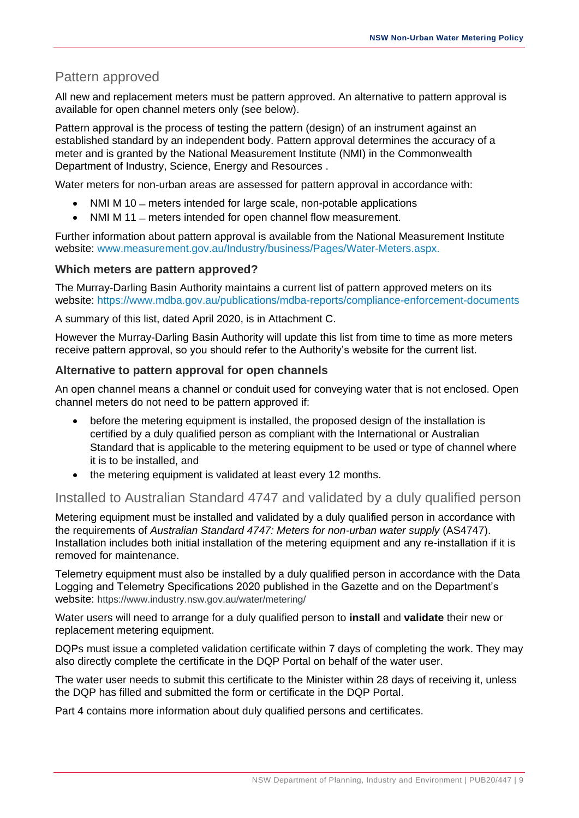## <span id="page-12-0"></span>Pattern approved

All new and replacement meters must be pattern approved. An alternative to pattern approval is available for open channel meters only (see below).

Pattern approval is the process of testing the pattern (design) of an instrument against an established standard by an independent body. Pattern approval determines the accuracy of a meter and is granted by the National Measurement Institute (NMI) in the Commonwealth Department of Industry, Science, Energy and Resources .

Water meters for non-urban areas are assessed for pattern approval in accordance with:

- NMI M 10 meters intended for large scale, non-potable applications
- NMI M 11 meters intended for open channel flow measurement.

Further information about pattern approval is available from the National Measurement Institute website: [www.measurement.gov.au/Industry/business/Pages/Water-Meters.aspx.](https://www.measurement.gov.au/Industry/business/Pages/Water-Meters.aspx)

#### **Which meters are pattern approved?**

The Murray-Darling Basin Authority maintains a current list of pattern approved meters on its website:<https://www.mdba.gov.au/publications/mdba-reports/compliance-enforcement-documents>

A summary of this list, dated April 2020, is in Attachment C.

However the Murray-Darling Basin Authority will update this list from time to time as more meters receive pattern approval, so you should refer to the Authority's website for the current list.

### **Alternative to pattern approval for open channels**

An open channel means a channel or conduit used for conveying water that is not enclosed. Open channel meters do not need to be pattern approved if:

- before the metering equipment is installed, the proposed design of the installation is certified by a duly qualified person as compliant with the International or Australian Standard that is applicable to the metering equipment to be used or type of channel where it is to be installed, and
- the metering equipment is validated at least every 12 months.

## <span id="page-12-1"></span>Installed to Australian Standard 4747 and validated by a duly qualified person

Metering equipment must be installed and validated by a duly qualified person in accordance with the requirements of *Australian Standard 4747: Meters for non-urban water supply* (AS4747). Installation includes both initial installation of the metering equipment and any re-installation if it is removed for maintenance.

Telemetry equipment must also be installed by a duly qualified person in accordance with the Data Logging and Telemetry Specifications 2020 published in the Gazette and on the Department's website: [https://www.industry.nsw.gov.au/water/metering/](https://www.google.com/url?q=https://www.industry.nsw.gov.au/water/metering/&sa=D&source=hangouts&ust=1592629977582000&usg=AFQjCNGGLUuuVcOqGyzjxurDvwuM0t4Jiw)

Water users will need to arrange for a duly qualified person to **install** and **validate** their new or replacement metering equipment.

DQPs must issue a completed validation certificate within 7 days of completing the work. They may also directly complete the certificate in the DQP Portal on behalf of the water user.

The water user needs to submit this certificate to the Minister within 28 days of receiving it, unless the DQP has filled and submitted the form or certificate in the DQP Portal.

Part 4 contains more information about duly qualified persons and certificates.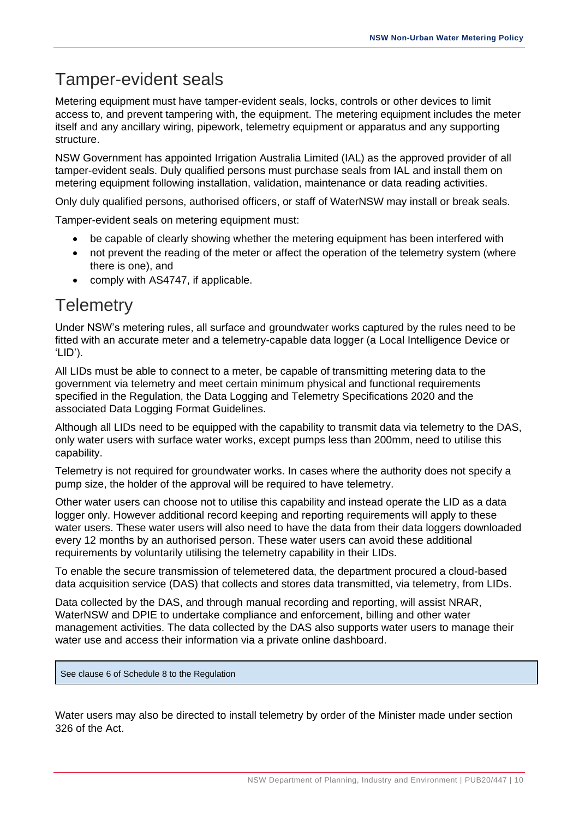# <span id="page-13-0"></span>Tamper-evident seals

Metering equipment must have tamper-evident seals, locks, controls or other devices to limit access to, and prevent tampering with, the equipment. The metering equipment includes the meter itself and any ancillary wiring, pipework, telemetry equipment or apparatus and any supporting structure.

NSW Government has appointed Irrigation Australia Limited (IAL) as the approved provider of all tamper-evident seals. Duly qualified persons must purchase seals from IAL and install them on metering equipment following installation, validation, maintenance or data reading activities.

Only duly qualified persons, authorised officers, or staff of WaterNSW may install or break seals.

Tamper-evident seals on metering equipment must:

- be capable of clearly showing whether the metering equipment has been interfered with
- not prevent the reading of the meter or affect the operation of the telemetry system (where there is one), and
- comply with AS4747, if applicable.

# <span id="page-13-1"></span>**Telemetry**

Under NSW's metering rules, all surface and groundwater works captured by the rules need to be fitted with an accurate meter and a telemetry-capable data logger (a Local Intelligence Device or 'LID').

All LIDs must be able to connect to a meter, be capable of transmitting metering data to the government via telemetry and meet certain minimum physical and functional requirements specified in the Regulation, the Data Logging and Telemetry Specifications 2020 and the associated Data Logging Format Guidelines.

Although all LIDs need to be equipped with the capability to transmit data via telemetry to the DAS, only water users with surface water works, except pumps less than 200mm, need to utilise this capability.

Telemetry is not required for groundwater works. In cases where the authority does not specify a pump size, the holder of the approval will be required to have telemetry.

Other water users can choose not to utilise this capability and instead operate the LID as a data logger only. However additional record keeping and reporting requirements will apply to these water users. These water users will also need to have the data from their data loggers downloaded every 12 months by an authorised person. These water users can avoid these additional requirements by voluntarily utilising the telemetry capability in their LIDs.

To enable the secure transmission of telemetered data, the department procured a cloud-based data acquisition service (DAS) that collects and stores data transmitted, via telemetry, from LIDs.

Data collected by the DAS, and through manual recording and reporting, will assist NRAR, WaterNSW and DPIE to undertake compliance and enforcement, billing and other water management activities. The data collected by the DAS also supports water users to manage their water use and access their information via a private online dashboard.

See clause 6 of Schedule 8 to the Regulation

Water users may also be directed to install telemetry by order of the Minister made under section 326 of the Act.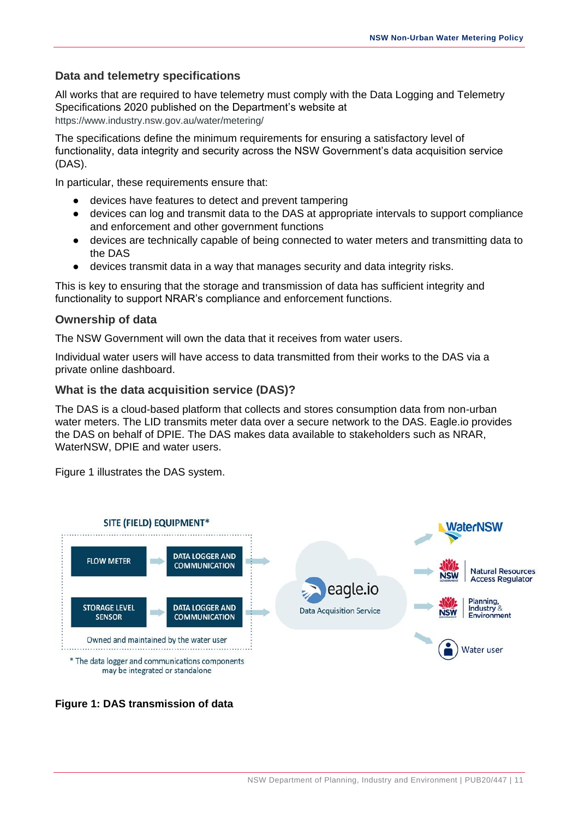### **Data and telemetry specifications**

All works that are required to have telemetry must comply with the Data Logging and Telemetry Specifications 2020 published on the Department's website at [https://www.industry.nsw.gov.au/water/metering/](https://www.google.com/url?q=https://www.industry.nsw.gov.au/water/metering/&sa=D&source=hangouts&ust=1592629977582000&usg=AFQjCNGGLUuuVcOqGyzjxurDvwuM0t4Jiw)

The specifications define the minimum requirements for ensuring a satisfactory level of functionality, data integrity and security across the NSW Government's data acquisition service (DAS).

In particular, these requirements ensure that:

- devices have features to detect and prevent tampering
- devices can log and transmit data to the DAS at appropriate intervals to support compliance and enforcement and other government functions
- devices are technically capable of being connected to water meters and transmitting data to the DAS
- devices transmit data in a way that manages security and data integrity risks.

This is key to ensuring that the storage and transmission of data has sufficient integrity and functionality to support NRAR's compliance and enforcement functions.

### **Ownership of data**

The NSW Government will own the data that it receives from water users.

Individual water users will have access to data transmitted from their works to the DAS via a private online dashboard.

#### **What is the data acquisition service (DAS)?**

The DAS is a cloud-based platform that collects and stores consumption data from non-urban water meters. The LID transmits meter data over a secure network to the DAS. Eagle.io provides the DAS on behalf of DPIE. The DAS makes data available to stakeholders such as NRAR, WaterNSW, DPIE and water users.

Figure 1 illustrates the DAS system.



#### **Figure 1: DAS transmission of data**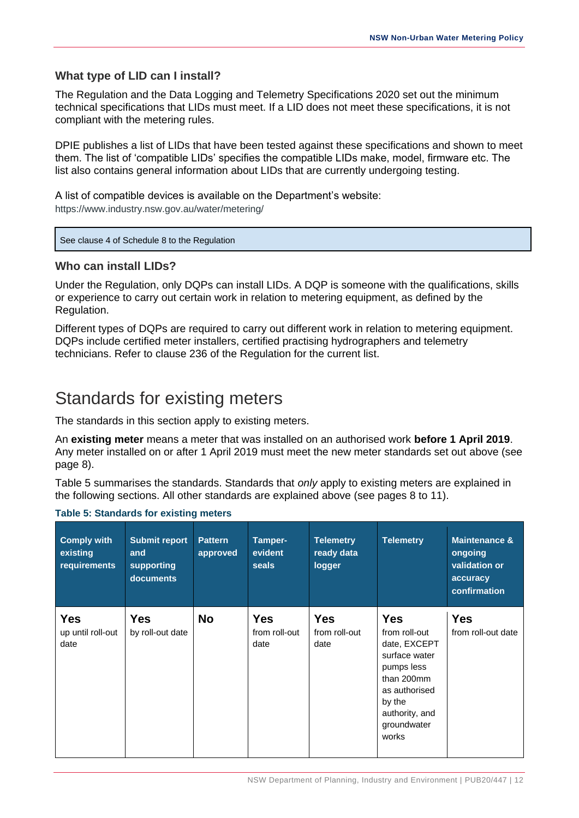### **What type of LID can I install?**

The Regulation and the Data Logging and Telemetry Specifications 2020 set out the minimum technical specifications that LIDs must meet. If a LID does not meet these specifications, it is not compliant with the metering rules.

DPIE publishes a list of LIDs that have been tested against these specifications and shown to meet them. The list of 'compatible LIDs' specifies the compatible LIDs make, model, firmware etc. The list also contains general information about LIDs that are currently undergoing testing.

A list of compatible devices is available on the Department's website: [https://www.industry.nsw.gov.au/water/metering/](https://www.google.com/url?q=https://www.industry.nsw.gov.au/water/metering/&sa=D&source=hangouts&ust=1592629977582000&usg=AFQjCNGGLUuuVcOqGyzjxurDvwuM0t4Jiw)

#### See clause 4 of Schedule 8 to the Regulation

#### **Who can install LIDs?**

Under the Regulation, only DQPs can install LIDs. A DQP is someone with the qualifications, skills or experience to carry out certain work in relation to metering equipment, as defined by the Regulation.

Different types of DQPs are required to carry out different work in relation to metering equipment. DQPs include certified meter installers, certified practising hydrographers and telemetry technicians. Refer to clause 236 of the Regulation for the current list.

# <span id="page-15-0"></span>Standards for existing meters

The standards in this section apply to existing meters.

An **existing meter** means a meter that was installed on an authorised work **before 1 April 2019**. Any meter installed on or after 1 April 2019 must meet the new meter standards set out above (see page 8).

Table 5 summarises the standards. Standards that *only* apply to existing meters are explained in the following sections. All other standards are explained above (see pages 8 to 11).

| <b>Comply with</b><br>existing<br>requirements | <b>Submit report</b><br>and<br>supporting<br>documents | <b>Pattern</b><br>approved | Tamper-<br>evident<br>seals         | <b>Telemetry</b><br>ready data<br>logger | <b>Telemetry</b>                                                                                                                                              | <b>Maintenance &amp;</b><br>ongoing<br>validation or<br>accuracy<br>confirmation |
|------------------------------------------------|--------------------------------------------------------|----------------------------|-------------------------------------|------------------------------------------|---------------------------------------------------------------------------------------------------------------------------------------------------------------|----------------------------------------------------------------------------------|
| <b>Yes</b><br>up until roll-out<br>date        | <b>Yes</b><br>by roll-out date                         | <b>No</b>                  | <b>Yes</b><br>from roll-out<br>date | <b>Yes</b><br>from roll-out<br>date      | <b>Yes</b><br>from roll-out<br>date, EXCEPT<br>surface water<br>pumps less<br>than 200mm<br>as authorised<br>by the<br>authority, and<br>groundwater<br>works | <b>Yes</b><br>from roll-out date                                                 |

#### **Table 5: Standards for existing meters**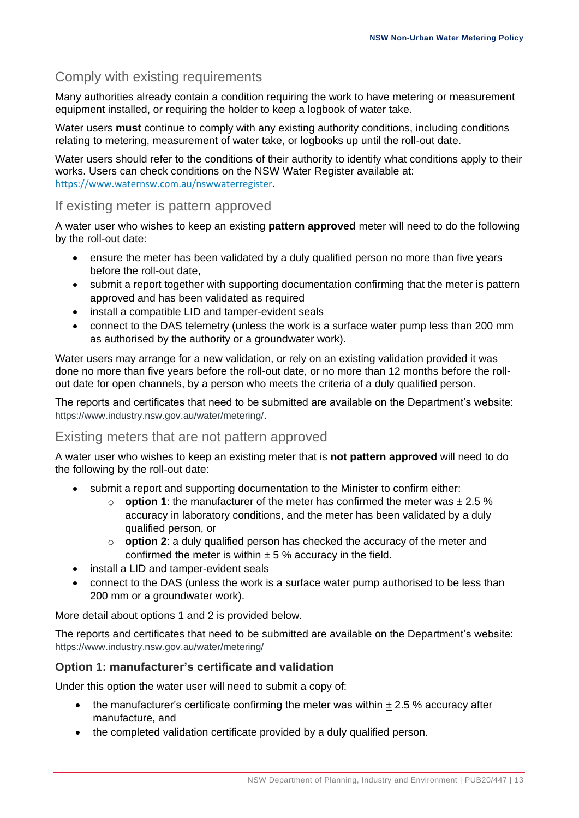## <span id="page-16-0"></span>Comply with existing requirements

Many authorities already contain a condition requiring the work to have metering or measurement equipment installed, or requiring the holder to keep a logbook of water take.

Water users **must** continue to comply with any existing authority conditions, including conditions relating to metering, measurement of water take, or logbooks up until the roll-out date.

Water users should refer to the conditions of their authority to identify what conditions apply to their works. Users can check conditions on the NSW Water Register available at: <https://www.waternsw.com.au/nswwaterregister>.

## <span id="page-16-1"></span>If existing meter is pattern approved

A water user who wishes to keep an existing **pattern approved** meter will need to do the following by the roll-out date:

- ensure the meter has been validated by a duly qualified person no more than five years before the roll-out date,
- submit a report together with supporting documentation confirming that the meter is pattern approved and has been validated as required
- install a compatible LID and tamper-evident seals
- connect to the DAS telemetry (unless the work is a surface water pump less than 200 mm as authorised by the authority or a groundwater work).

Water users may arrange for a new validation, or rely on an existing validation provided it was done no more than five years before the roll-out date, or no more than 12 months before the rollout date for open channels, by a person who meets the criteria of a duly qualified person.

The reports and certificates that need to be submitted are available on the Department's website: [https://www.industry.nsw.gov.au/water/metering/](https://www.google.com/url?q=https://www.industry.nsw.gov.au/water/metering/&sa=D&source=hangouts&ust=1592629977582000&usg=AFQjCNGGLUuuVcOqGyzjxurDvwuM0t4Jiw).

## <span id="page-16-2"></span>Existing meters that are not pattern approved

A water user who wishes to keep an existing meter that is **not pattern approved** will need to do the following by the roll-out date:

- submit a report and supporting documentation to the Minister to confirm either:
	- $\circ$  **option 1**: the manufacturer of the meter has confirmed the meter was  $\pm 2.5$  % accuracy in laboratory conditions, and the meter has been validated by a duly qualified person, or
	- o **option 2**: a duly qualified person has checked the accuracy of the meter and confirmed the meter is within  $\pm$  5 % accuracy in the field.
- install a LID and tamper-evident seals
- connect to the DAS (unless the work is a surface water pump authorised to be less than 200 mm or a groundwater work).

More detail about options 1 and 2 is provided below.

The reports and certificates that need to be submitted are available on the Department's website: [https://www.industry.nsw.gov.au/water/metering/](https://www.google.com/url?q=https://www.industry.nsw.gov.au/water/metering/&sa=D&source=hangouts&ust=1592629977582000&usg=AFQjCNGGLUuuVcOqGyzjxurDvwuM0t4Jiw)

## **Option 1: manufacturer's certificate and validation**

Under this option the water user will need to submit a copy of:

- the manufacturer's certificate confirming the meter was within  $\pm$  2.5 % accuracy after manufacture, and
- the completed validation certificate provided by a duly qualified person.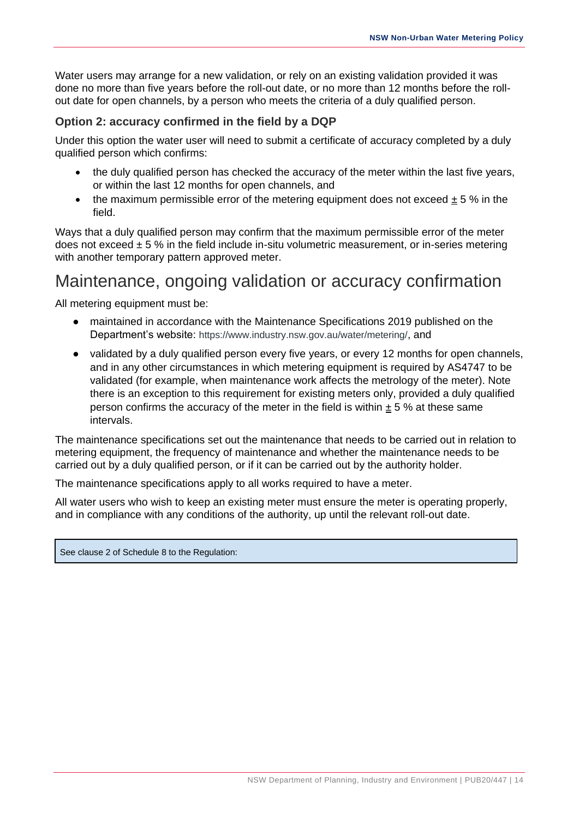Water users may arrange for a new validation, or rely on an existing validation provided it was done no more than five years before the roll-out date, or no more than 12 months before the rollout date for open channels, by a person who meets the criteria of a duly qualified person.

### **Option 2: accuracy confirmed in the field by a DQP**

Under this option the water user will need to submit a certificate of accuracy completed by a duly qualified person which confirms:

- the duly qualified person has checked the accuracy of the meter within the last five years, or within the last 12 months for open channels, and
- the maximum permissible error of the metering equipment does not exceed  $\pm 5\%$  in the field.

Ways that a duly qualified person may confirm that the maximum permissible error of the meter does not exceed  $\pm$  5 % in the field include in-situ volumetric measurement, or in-series metering with another temporary pattern approved meter.

# <span id="page-17-0"></span>Maintenance, ongoing validation or accuracy confirmation

All metering equipment must be:

- maintained in accordance with the Maintenance Specifications 2019 published on the Department's website: [https://www.industry.nsw.gov.au/water/metering/](https://www.google.com/url?q=https://www.industry.nsw.gov.au/water/metering/&sa=D&source=hangouts&ust=1592629977582000&usg=AFQjCNGGLUuuVcOqGyzjxurDvwuM0t4Jiw), and
- validated by a duly qualified person every five years, or every 12 months for open channels, and in any other circumstances in which metering equipment is required by AS4747 to be validated (for example, when maintenance work affects the metrology of the meter). Note there is an exception to this requirement for existing meters only, provided a duly qualified person confirms the accuracy of the meter in the field is within  $\pm$  5 % at these same intervals.

The maintenance specifications set out the maintenance that needs to be carried out in relation to metering equipment, the frequency of maintenance and whether the maintenance needs to be carried out by a duly qualified person, or if it can be carried out by the authority holder.

The maintenance specifications apply to all works required to have a meter.

All water users who wish to keep an existing meter must ensure the meter is operating properly, and in compliance with any conditions of the authority, up until the relevant roll-out date.

See clause 2 of Schedule 8 to the Regulation: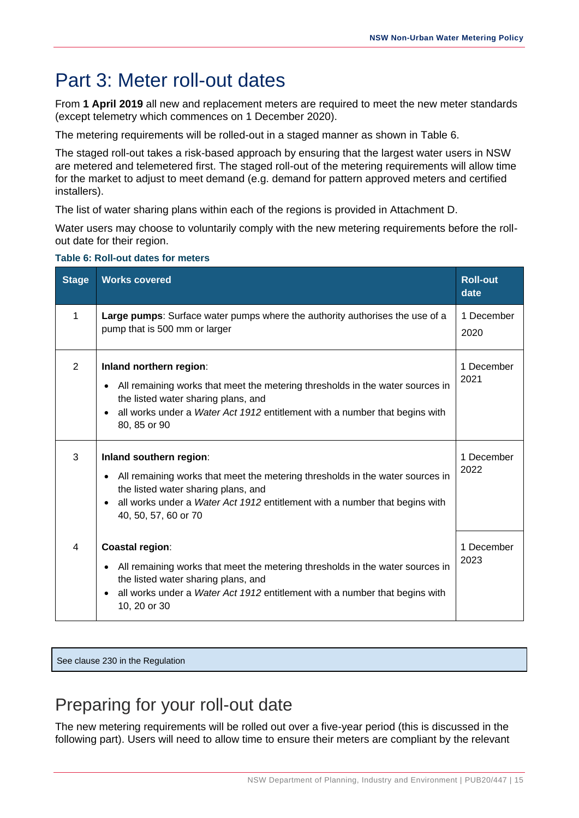# <span id="page-18-0"></span>Part 3: Meter roll-out dates

From **1 April 2019** all new and replacement meters are required to meet the new meter standards (except telemetry which commences on 1 December 2020).

The metering requirements will be rolled-out in a staged manner as shown in Table 6.

The staged roll-out takes a risk-based approach by ensuring that the largest water users in NSW are metered and telemetered first. The staged roll-out of the metering requirements will allow time for the market to adjust to meet demand (e.g. demand for pattern approved meters and certified installers).

The list of water sharing plans within each of the regions is provided in Attachment D.

Water users may choose to voluntarily comply with the new metering requirements before the rollout date for their region.

#### **Table 6: Roll-out dates for meters**

| <b>Stage</b>   | <b>Works covered</b>                                                                                                                                                                                                                                                             | <b>Roll-out</b><br>date |
|----------------|----------------------------------------------------------------------------------------------------------------------------------------------------------------------------------------------------------------------------------------------------------------------------------|-------------------------|
| 1              | Large pumps: Surface water pumps where the authority authorises the use of a<br>pump that is 500 mm or larger                                                                                                                                                                    | 1 December<br>2020      |
| $\overline{2}$ | Inland northern region:<br>All remaining works that meet the metering thresholds in the water sources in<br>$\bullet$<br>the listed water sharing plans, and<br>all works under a Water Act 1912 entitlement with a number that begins with<br>$\bullet$<br>80, 85 or 90         | 1 December<br>2021      |
| 3              | Inland southern region:<br>All remaining works that meet the metering thresholds in the water sources in<br>$\bullet$<br>the listed water sharing plans, and<br>all works under a Water Act 1912 entitlement with a number that begins with<br>$\bullet$<br>40, 50, 57, 60 or 70 | 1 December<br>2022      |
| 4              | <b>Coastal region:</b><br>All remaining works that meet the metering thresholds in the water sources in<br>$\bullet$<br>the listed water sharing plans, and<br>all works under a Water Act 1912 entitlement with a number that begins with<br>$\bullet$<br>10, 20 or 30          | 1 December<br>2023      |

See clause 230 in the Regulation

# <span id="page-18-1"></span>Preparing for your roll-out date

The new metering requirements will be rolled out over a five-year period (this is discussed in the following part). Users will need to allow time to ensure their meters are compliant by the relevant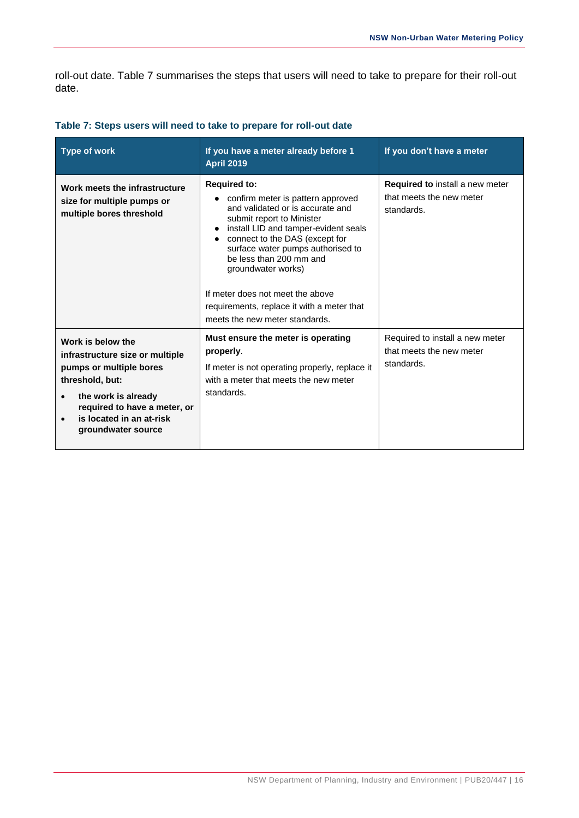roll-out date. Table 7 summarises the steps that users will need to take to prepare for their roll-out date.

| <b>Type of work</b>                                                                                                                                                                                                      | If you have a meter already before 1<br><b>April 2019</b>                                                                                                                                                                                                                                                                                                                                                       | If you don't have a meter                                                 |
|--------------------------------------------------------------------------------------------------------------------------------------------------------------------------------------------------------------------------|-----------------------------------------------------------------------------------------------------------------------------------------------------------------------------------------------------------------------------------------------------------------------------------------------------------------------------------------------------------------------------------------------------------------|---------------------------------------------------------------------------|
| Work meets the infrastructure<br>size for multiple pumps or<br>multiple bores threshold                                                                                                                                  | <b>Required to:</b><br>• confirm meter is pattern approved<br>and validated or is accurate and<br>submit report to Minister<br>install LID and tamper-evident seals<br>connect to the DAS (except for<br>surface water pumps authorised to<br>be less than 200 mm and<br>groundwater works)<br>If meter does not meet the above<br>requirements, replace it with a meter that<br>meets the new meter standards. | Required to install a new meter<br>that meets the new meter<br>standards. |
| Work is below the<br>infrastructure size or multiple<br>pumps or multiple bores<br>threshold, but:<br>the work is already<br>$\bullet$<br>required to have a meter, or<br>is located in an at-risk<br>groundwater source | Must ensure the meter is operating<br>properly.<br>If meter is not operating properly, replace it<br>with a meter that meets the new meter<br>standards.                                                                                                                                                                                                                                                        | Required to install a new meter<br>that meets the new meter<br>standards. |

#### **Table 7: Steps users will need to take to prepare for roll-out date**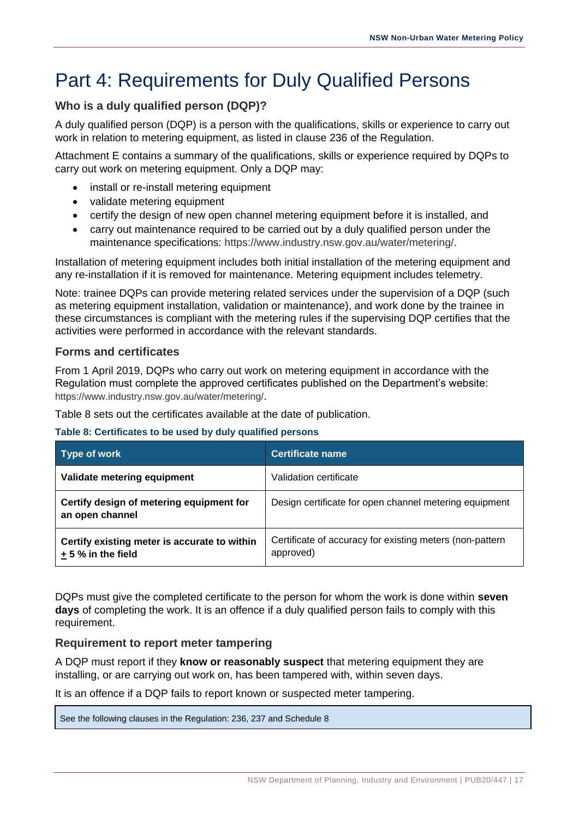# <span id="page-20-0"></span>Part 4: Requirements for Duly Qualified Persons

## **Who is a duly qualified person (DQP)?**

A duly qualified person (DQP) is a person with the qualifications, skills or experience to carry out work in relation to metering equipment, as listed in clause 236 of the Regulation.

Attachment E contains a summary of the qualifications, skills or experience required by DQPs to carry out work on metering equipment. Only a DQP may:

- install or re-install metering equipment
- validate metering equipment
- certify the design of new open channel metering equipment before it is installed, and
- carry out maintenance required to be carried out by a duly qualified person under the maintenance specifications: [https://www.industry.nsw.gov.au/water/metering/.](https://www.google.com/url?q=https://www.industry.nsw.gov.au/water/metering/&sa=D&source=hangouts&ust=1592629977582000&usg=AFQjCNGGLUuuVcOqGyzjxurDvwuM0t4Jiw)

Installation of metering equipment includes both initial installation of the metering equipment and any re-installation if it is removed for maintenance. Metering equipment includes telemetry.

Note: trainee DQPs can provide metering related services under the supervision of a DQP (such as metering equipment installation, validation or maintenance), and work done by the trainee in these circumstances is compliant with the metering rules if the supervising DQP certifies that the activities were performed in accordance with the relevant standards.

### **Forms and certificates**

From 1 April 2019, DQPs who carry out work on metering equipment in accordance with the Regulation must complete the approved certificates published on the Department's website: [https://www.industry.nsw.gov.au/water/metering/](https://www.google.com/url?q=https://www.industry.nsw.gov.au/water/metering/&sa=D&source=hangouts&ust=1592629977582000&usg=AFQjCNGGLUuuVcOqGyzjxurDvwuM0t4Jiw).

Table 8 sets out the certificates available at the date of publication.

#### **Table 8: Certificates to be used by duly qualified persons**

| Type of work                                                       | <b>Certificate name</b>                                               |
|--------------------------------------------------------------------|-----------------------------------------------------------------------|
| Validate metering equipment                                        | Validation certificate                                                |
| Certify design of metering equipment for<br>an open channel        | Design certificate for open channel metering equipment                |
| Certify existing meter is accurate to within<br>$+5%$ in the field | Certificate of accuracy for existing meters (non-pattern<br>approved) |

DQPs must give the completed certificate to the person for whom the work is done within **seven days** of completing the work. It is an offence if a duly qualified person fails to comply with this requirement.

## **Requirement to report meter tampering**

A DQP must report if they **know or reasonably suspect** that metering equipment they are installing, or are carrying out work on, has been tampered with, within seven days.

It is an offence if a DQP fails to report known or suspected meter tampering.

See the following clauses in the Regulation: 236, 237 and Schedule 8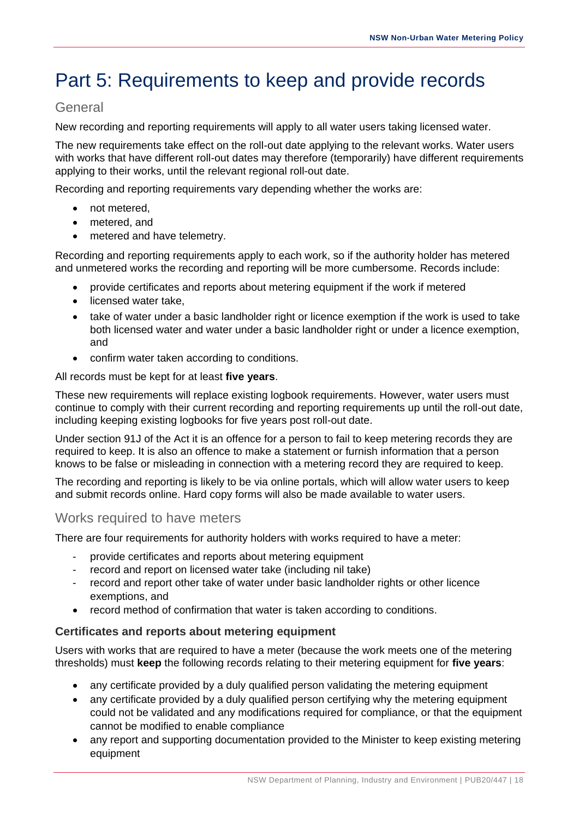# <span id="page-21-0"></span>Part 5: Requirements to keep and provide records

## <span id="page-21-1"></span>**General**

New recording and reporting requirements will apply to all water users taking licensed water.

The new requirements take effect on the roll-out date applying to the relevant works. Water users with works that have different roll-out dates may therefore (temporarily) have different requirements applying to their works, until the relevant regional roll-out date.

Recording and reporting requirements vary depending whether the works are:

- not metered.
- metered, and
- metered and have telemetry.

Recording and reporting requirements apply to each work, so if the authority holder has metered and unmetered works the recording and reporting will be more cumbersome. Records include:

- provide certificates and reports about metering equipment if the work if metered
- licensed water take,
- take of water under a basic landholder right or licence exemption if the work is used to take both licensed water and water under a basic landholder right or under a licence exemption, and
- confirm water taken according to conditions.

All records must be kept for at least **five years**.

These new requirements will replace existing logbook requirements. However, water users must continue to comply with their current recording and reporting requirements up until the roll-out date, including keeping existing logbooks for five years post roll-out date.

Under section 91J of the Act it is an offence for a person to fail to keep metering records they are required to keep. It is also an offence to make a statement or furnish information that a person knows to be false or misleading in connection with a metering record they are required to keep.

The recording and reporting is likely to be via online portals, which will allow water users to keep and submit records online. Hard copy forms will also be made available to water users.

## <span id="page-21-2"></span>Works required to have meters

There are four requirements for authority holders with works required to have a meter:

- provide certificates and reports about metering equipment
- record and report on licensed water take (including nil take)
- record and report other take of water under basic landholder rights or other licence exemptions, and
- record method of confirmation that water is taken according to conditions.

#### **Certificates and reports about metering equipment**

Users with works that are required to have a meter (because the work meets one of the metering thresholds) must **keep** the following records relating to their metering equipment for **five years**:

- any certificate provided by a duly qualified person validating the metering equipment
- any certificate provided by a duly qualified person certifying why the metering equipment could not be validated and any modifications required for compliance, or that the equipment cannot be modified to enable compliance
- any report and supporting documentation provided to the Minister to keep existing metering equipment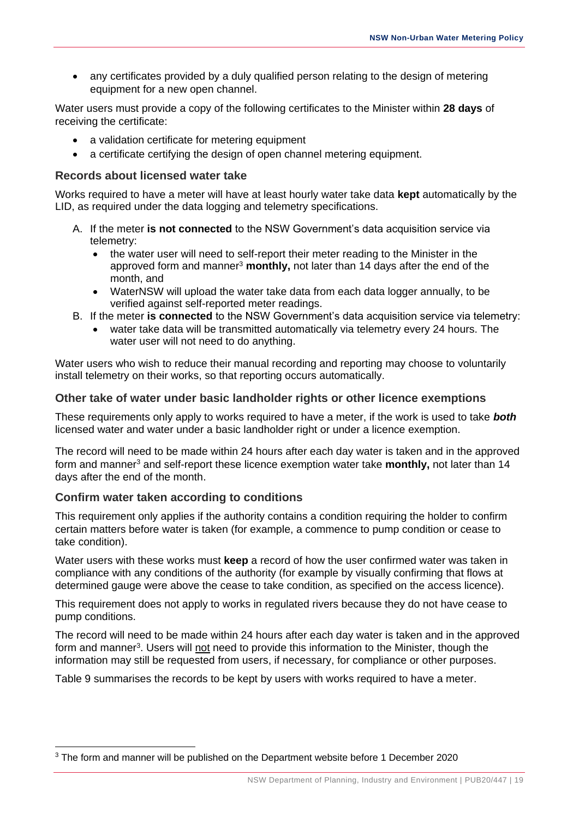• any certificates provided by a duly qualified person relating to the design of metering equipment for a new open channel.

Water users must provide a copy of the following certificates to the Minister within **28 days** of receiving the certificate:

- a validation certificate for metering equipment
- a certificate certifying the design of open channel metering equipment.

### **Records about licensed water take**

Works required to have a meter will have at least hourly water take data **kept** automatically by the LID, as required under the data logging and telemetry specifications.

- A. If the meter **is not connected** to the NSW Government's data acquisition service via telemetry:
	- the water user will need to self-report their meter reading to the Minister in the approved form and manner<sup>3</sup> monthly, not later than 14 days after the end of the month, and
	- WaterNSW will upload the water take data from each data logger annually, to be verified against self-reported meter readings.
- B. If the meter **is connected** to the NSW Government's data acquisition service via telemetry:
	- water take data will be transmitted automatically via telemetry every 24 hours. The water user will not need to do anything.

Water users who wish to reduce their manual recording and reporting may choose to voluntarily install telemetry on their works, so that reporting occurs automatically.

### **Other take of water under basic landholder rights or other licence exemptions**

These requirements only apply to works required to have a meter, if the work is used to take *both* licensed water and water under a basic landholder right or under a licence exemption.

The record will need to be made within 24 hours after each day water is taken and in the approved form and manner<sup>3</sup> and self-report these licence exemption water take **monthly,** not later than 14 days after the end of the month.

## **Confirm water taken according to conditions**

This requirement only applies if the authority contains a condition requiring the holder to confirm certain matters before water is taken (for example, a commence to pump condition or cease to take condition).

Water users with these works must **keep** a record of how the user confirmed water was taken in compliance with any conditions of the authority (for example by visually confirming that flows at determined gauge were above the cease to take condition, as specified on the access licence).

This requirement does not apply to works in regulated rivers because they do not have cease to pump conditions.

The record will need to be made within 24 hours after each day water is taken and in the approved form and manner<sup>3</sup>. Users will not need to provide this information to the Minister, though the information may still be requested from users, if necessary, for compliance or other purposes.

Table 9 summarises the records to be kept by users with works required to have a meter.

 $\overline{a}$ <sup>3</sup> The form and manner will be published on the Department website before 1 December 2020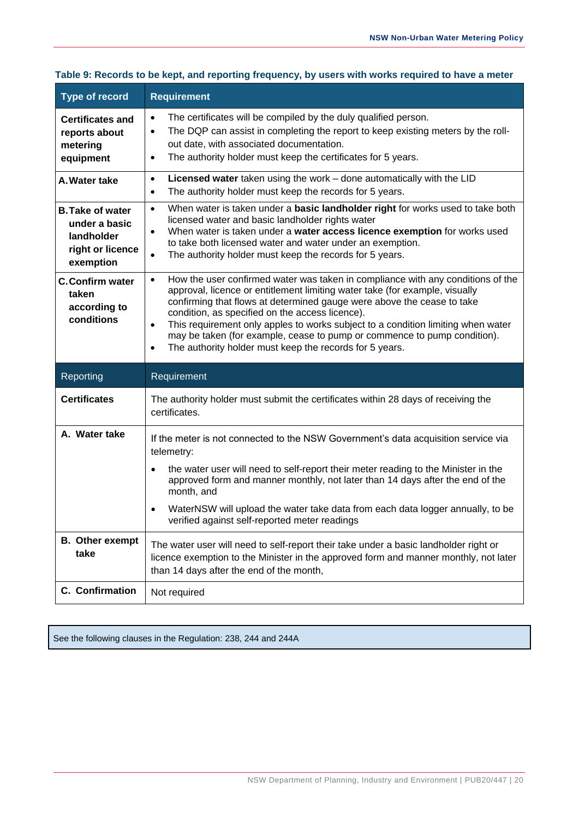| <b>Type of record</b>                                                                   | <b>Requirement</b>                                                                                                                                                                                                                                                                                                                                                                                                                                                                    |
|-----------------------------------------------------------------------------------------|---------------------------------------------------------------------------------------------------------------------------------------------------------------------------------------------------------------------------------------------------------------------------------------------------------------------------------------------------------------------------------------------------------------------------------------------------------------------------------------|
| <b>Certificates and</b><br>reports about<br>metering<br>equipment                       | The certificates will be compiled by the duly qualified person.<br>$\bullet$<br>The DQP can assist in completing the report to keep existing meters by the roll-<br>$\bullet$<br>out date, with associated documentation.<br>The authority holder must keep the certificates for 5 years.<br>$\bullet$                                                                                                                                                                                |
| A. Water take                                                                           | Licensed water taken using the work - done automatically with the LID<br>$\bullet$<br>The authority holder must keep the records for 5 years.<br>$\bullet$                                                                                                                                                                                                                                                                                                                            |
| <b>B. Take of water</b><br>under a basic<br>landholder<br>right or licence<br>exemption | When water is taken under a basic landholder right for works used to take both<br>$\bullet$<br>licensed water and basic landholder rights water<br>When water is taken under a water access licence exemption for works used<br>$\bullet$<br>to take both licensed water and water under an exemption.<br>The authority holder must keep the records for 5 years.<br>$\bullet$                                                                                                        |
| <b>C.Confirm water</b><br>taken<br>according to<br>conditions                           | How the user confirmed water was taken in compliance with any conditions of the<br>$\bullet$<br>approval, licence or entitlement limiting water take (for example, visually<br>confirming that flows at determined gauge were above the cease to take<br>condition, as specified on the access licence).<br>This requirement only apples to works subject to a condition limiting when water<br>$\bullet$<br>may be taken (for example, cease to pump or commence to pump condition). |
|                                                                                         | The authority holder must keep the records for 5 years.<br>$\bullet$                                                                                                                                                                                                                                                                                                                                                                                                                  |
| Reporting                                                                               | Requirement                                                                                                                                                                                                                                                                                                                                                                                                                                                                           |
| <b>Certificates</b>                                                                     | The authority holder must submit the certificates within 28 days of receiving the<br>certificates.                                                                                                                                                                                                                                                                                                                                                                                    |
| A. Water take                                                                           | If the meter is not connected to the NSW Government's data acquisition service via<br>telemetry:                                                                                                                                                                                                                                                                                                                                                                                      |
|                                                                                         | the water user will need to self-report their meter reading to the Minister in the<br>$\bullet$<br>approved form and manner monthly, not later than 14 days after the end of the<br>month, and                                                                                                                                                                                                                                                                                        |
|                                                                                         | WaterNSW will upload the water take data from each data logger annually, to be<br>verified against self-reported meter readings                                                                                                                                                                                                                                                                                                                                                       |
| <b>B.</b> Other exempt<br>take                                                          | The water user will need to self-report their take under a basic landholder right or<br>licence exemption to the Minister in the approved form and manner monthly, not later<br>than 14 days after the end of the month,                                                                                                                                                                                                                                                              |

#### **Table 9: Records to be kept, and reporting frequency, by users with works required to have a meter**

See the following clauses in the Regulation: 238, 244 and 244A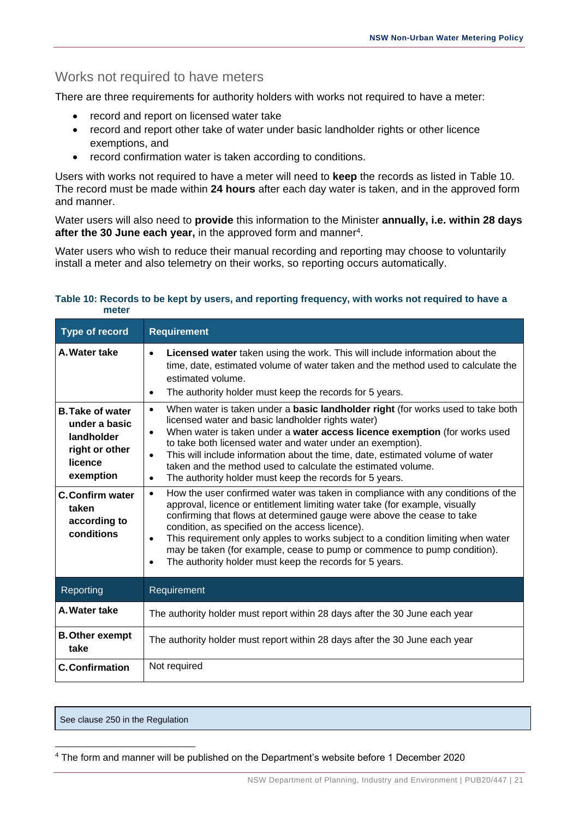## <span id="page-24-0"></span>Works not required to have meters

There are three requirements for authority holders with works not required to have a meter:

- record and report on licensed water take
- record and report other take of water under basic landholder rights or other licence exemptions, and
- record confirmation water is taken according to conditions.

Users with works not required to have a meter will need to **keep** the records as listed in Table 10. The record must be made within **24 hours** after each day water is taken, and in the approved form and manner.

Water users will also need to **provide** this information to the Minister **annually, i.e. within 28 days**  after the 30 June each year, in the approved form and manner<sup>4</sup>.

Water users who wish to reduce their manual recording and reporting may choose to voluntarily install a meter and also telemetry on their works, so reporting occurs automatically.

#### **Table 10: Records to be kept by users, and reporting frequency, with works not required to have a meter**

| <b>Type of record</b>                                                                                                                                             | <b>Requirement</b>                                                                                                                                                                                                                                                                                                                                                                                                                                                                                                                                                                                                                                                                                                                                                                                                                                                                                                                                                                                                                                                                                                       |
|-------------------------------------------------------------------------------------------------------------------------------------------------------------------|--------------------------------------------------------------------------------------------------------------------------------------------------------------------------------------------------------------------------------------------------------------------------------------------------------------------------------------------------------------------------------------------------------------------------------------------------------------------------------------------------------------------------------------------------------------------------------------------------------------------------------------------------------------------------------------------------------------------------------------------------------------------------------------------------------------------------------------------------------------------------------------------------------------------------------------------------------------------------------------------------------------------------------------------------------------------------------------------------------------------------|
| A. Water take                                                                                                                                                     | Licensed water taken using the work. This will include information about the<br>$\bullet$<br>time, date, estimated volume of water taken and the method used to calculate the<br>estimated volume.<br>The authority holder must keep the records for 5 years.<br>$\bullet$                                                                                                                                                                                                                                                                                                                                                                                                                                                                                                                                                                                                                                                                                                                                                                                                                                               |
| <b>B. Take of water</b><br>under a basic<br>landholder<br>right or other<br>licence<br>exemption<br><b>C.Confirm water</b><br>taken<br>according to<br>conditions | When water is taken under a <b>basic landholder right</b> (for works used to take both<br>$\bullet$<br>licensed water and basic landholder rights water)<br>When water is taken under a water access licence exemption (for works used<br>$\bullet$<br>to take both licensed water and water under an exemption).<br>This will include information about the time, date, estimated volume of water<br>$\bullet$<br>taken and the method used to calculate the estimated volume.<br>The authority holder must keep the records for 5 years.<br>$\bullet$<br>How the user confirmed water was taken in compliance with any conditions of the<br>$\bullet$<br>approval, licence or entitlement limiting water take (for example, visually<br>confirming that flows at determined gauge were above the cease to take<br>condition, as specified on the access licence).<br>This requirement only apples to works subject to a condition limiting when water<br>$\bullet$<br>may be taken (for example, cease to pump or commence to pump condition).<br>The authority holder must keep the records for 5 years.<br>$\bullet$ |
| Reporting                                                                                                                                                         | Requirement                                                                                                                                                                                                                                                                                                                                                                                                                                                                                                                                                                                                                                                                                                                                                                                                                                                                                                                                                                                                                                                                                                              |
| A. Water take                                                                                                                                                     | The authority holder must report within 28 days after the 30 June each year                                                                                                                                                                                                                                                                                                                                                                                                                                                                                                                                                                                                                                                                                                                                                                                                                                                                                                                                                                                                                                              |
| <b>B. Other exempt</b><br>take                                                                                                                                    | The authority holder must report within 28 days after the 30 June each year                                                                                                                                                                                                                                                                                                                                                                                                                                                                                                                                                                                                                                                                                                                                                                                                                                                                                                                                                                                                                                              |
| <b>C.Confirmation</b>                                                                                                                                             | Not required                                                                                                                                                                                                                                                                                                                                                                                                                                                                                                                                                                                                                                                                                                                                                                                                                                                                                                                                                                                                                                                                                                             |

See clause 250 in the Regulation

 $\overline{a}$ <sup>4</sup> The form and manner will be published on the Department's website before 1 December 2020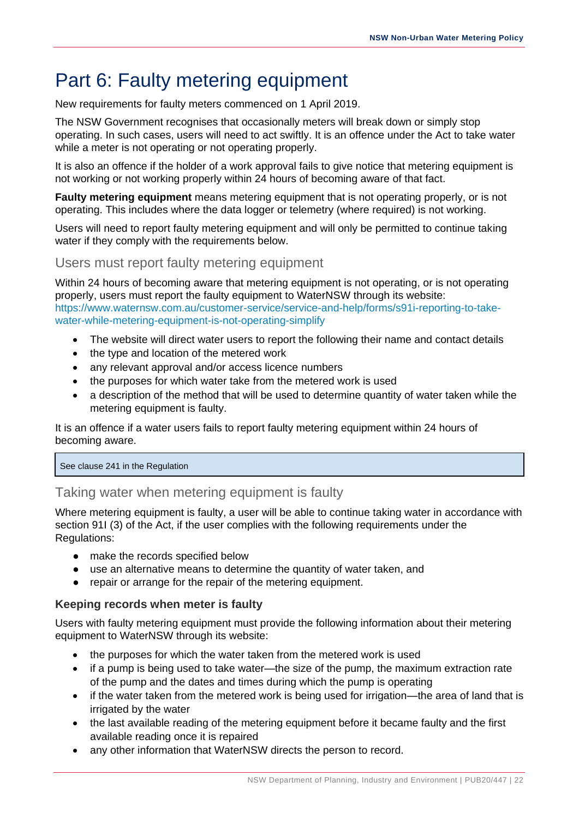# <span id="page-25-0"></span>Part 6: Faulty metering equipment

New requirements for faulty meters commenced on 1 April 2019.

The NSW Government recognises that occasionally meters will break down or simply stop operating. In such cases, users will need to act swiftly. It is an offence under the Act to take water while a meter is not operating or not operating properly.

It is also an offence if the holder of a work approval fails to give notice that metering equipment is not working or not working properly within 24 hours of becoming aware of that fact.

**Faulty metering equipment** means metering equipment that is not operating properly, or is not operating. This includes where the data logger or telemetry (where required) is not working.

Users will need to report faulty metering equipment and will only be permitted to continue taking water if they comply with the requirements below.

## <span id="page-25-1"></span>Users must report faulty metering equipment

Within 24 hours of becoming aware that metering equipment is not operating, or is not operating properly, users must report the faulty equipment to WaterNSW through its website: [https://www.waternsw.com.au/customer-service/service-and-help/forms/s91i-reporting-to-take](https://www.waternsw.com.au/customer-service/service-and-help/forms/s91i-reporting-to-take-water-while-metering-equipment-is-not-operating-simplify)[water-while-metering-equipment-is-not-operating-simplify](https://www.waternsw.com.au/customer-service/service-and-help/forms/s91i-reporting-to-take-water-while-metering-equipment-is-not-operating-simplify)

- The website will direct water users to report the following their name and contact details
- the type and location of the metered work
- any relevant approval and/or access licence numbers
- the purposes for which water take from the metered work is used
- a description of the method that will be used to determine quantity of water taken while the metering equipment is faulty.

It is an offence if a water users fails to report faulty metering equipment within 24 hours of becoming aware.

#### See clause 241 in the Regulation

## <span id="page-25-2"></span>Taking water when metering equipment is faulty

Where metering equipment is faulty, a user will be able to continue taking water in accordance with section 91I (3) of the Act, if the user complies with the following requirements under the Regulations:

- make the records specified below
- use an alternative means to determine the quantity of water taken, and
- repair or arrange for the repair of the metering equipment.

#### **Keeping records when meter is faulty**

Users with faulty metering equipment must provide the following information about their metering equipment to WaterNSW through its website:

- the purposes for which the water taken from the metered work is used
- if a pump is being used to take water—the size of the pump, the maximum extraction rate of the pump and the dates and times during which the pump is operating
- if the water taken from the metered work is being used for irrigation—the area of land that is irrigated by the water
- the last available reading of the metering equipment before it became faulty and the first available reading once it is repaired
- any other information that WaterNSW directs the person to record.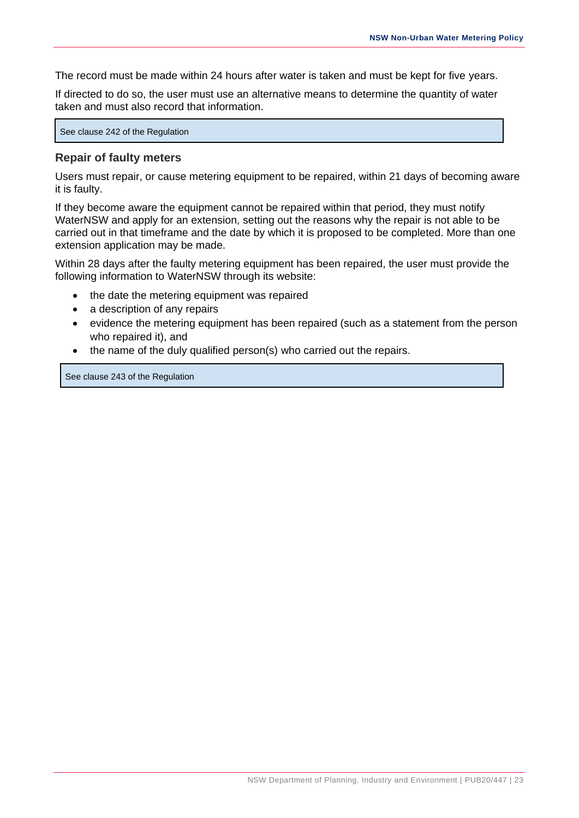The record must be made within 24 hours after water is taken and must be kept for five years.

If directed to do so, the user must use an alternative means to determine the quantity of water taken and must also record that information.

See clause 242 of the Regulation

#### **Repair of faulty meters**

Users must repair, or cause metering equipment to be repaired, within 21 days of becoming aware it is faulty.

If they become aware the equipment cannot be repaired within that period, they must notify WaterNSW and apply for an extension, setting out the reasons why the repair is not able to be carried out in that timeframe and the date by which it is proposed to be completed. More than one extension application may be made.

Within 28 days after the faulty metering equipment has been repaired, the user must provide the following information to WaterNSW through its website:

- the date the metering equipment was repaired
- a description of any repairs
- evidence the metering equipment has been repaired (such as a statement from the person who repaired it), and
- the name of the duly qualified person(s) who carried out the repairs.

See clause 243 of the Regulation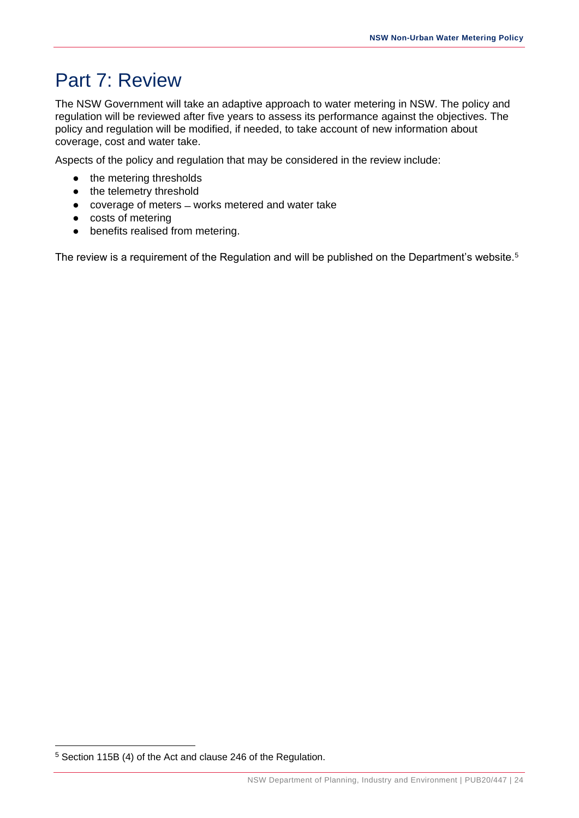# <span id="page-27-0"></span>Part 7: Review

The NSW Government will take an adaptive approach to water metering in NSW. The policy and regulation will be reviewed after five years to assess its performance against the objectives. The policy and regulation will be modified, if needed, to take account of new information about coverage, cost and water take.

Aspects of the policy and regulation that may be considered in the review include:

- the metering thresholds
- the telemetry threshold
- coverage of meters ̶ works metered and water take
- costs of metering
- benefits realised from metering.

The review is a requirement of the Regulation and will be published on the Department's website.<sup>5</sup>

<sup>5</sup> Section 115B (4) of the Act and clause 246 of the Regulation.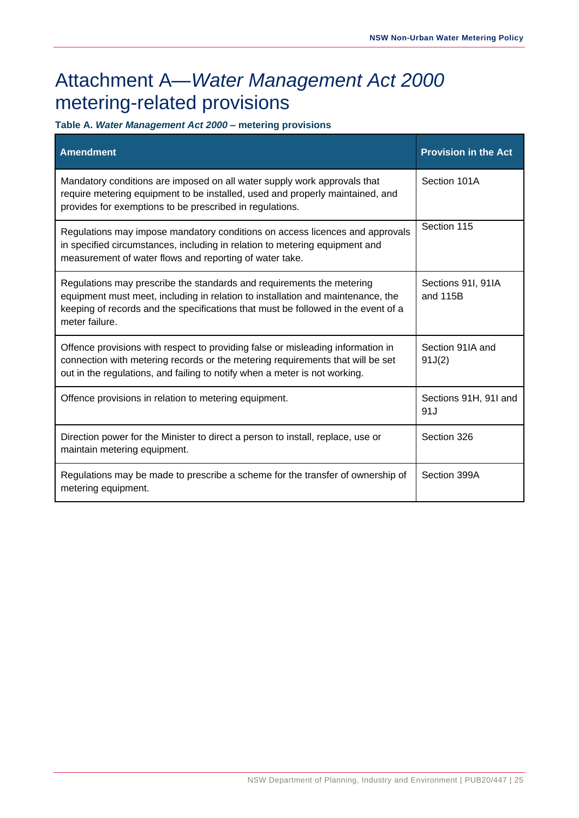# <span id="page-28-0"></span>Attachment A—*Water Management Act 2000*  metering-related provisions

**Table A.** *Water Management Act 2000* **– metering provisions** 

| <b>Amendment</b>                                                                                                                                                                                                                                                | <b>Provision in the Act</b>    |
|-----------------------------------------------------------------------------------------------------------------------------------------------------------------------------------------------------------------------------------------------------------------|--------------------------------|
| Mandatory conditions are imposed on all water supply work approvals that<br>require metering equipment to be installed, used and properly maintained, and<br>provides for exemptions to be prescribed in regulations.                                           | Section 101A                   |
| Regulations may impose mandatory conditions on access licences and approvals<br>in specified circumstances, including in relation to metering equipment and<br>measurement of water flows and reporting of water take.                                          | Section 115                    |
| Regulations may prescribe the standards and requirements the metering<br>equipment must meet, including in relation to installation and maintenance, the<br>keeping of records and the specifications that must be followed in the event of a<br>meter failure. | Sections 91I, 91IA<br>and 115B |
| Offence provisions with respect to providing false or misleading information in<br>connection with metering records or the metering requirements that will be set<br>out in the regulations, and failing to notify when a meter is not working.                 | Section 91IA and<br>91J(2)     |
| Offence provisions in relation to metering equipment.                                                                                                                                                                                                           | Sections 91H, 91I and<br>91J   |
| Direction power for the Minister to direct a person to install, replace, use or<br>maintain metering equipment.                                                                                                                                                 | Section 326                    |
| Regulations may be made to prescribe a scheme for the transfer of ownership of<br>metering equipment.                                                                                                                                                           | Section 399A                   |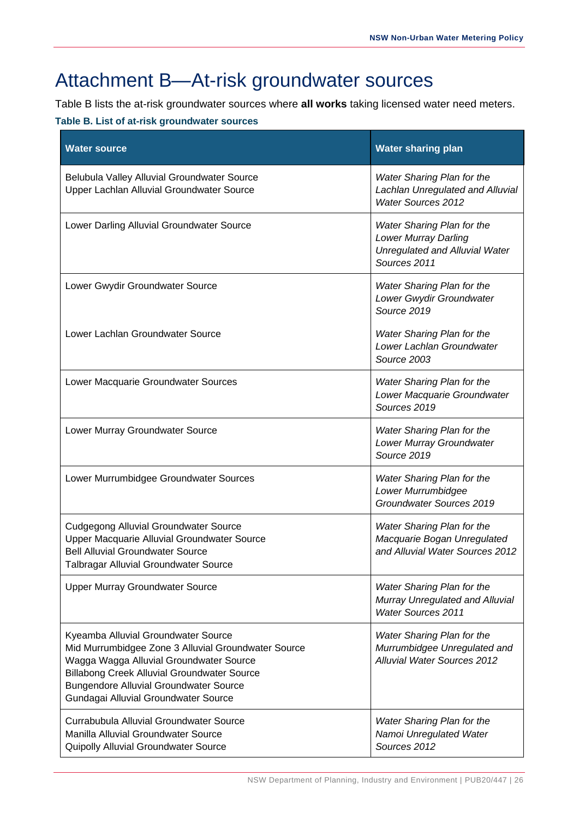# <span id="page-29-0"></span>Attachment B—At-risk groundwater sources

Table B lists the at-risk groundwater sources where **all works** taking licensed water need meters.

#### **Table B. List of at-risk groundwater sources**

| <b>Water source</b>                                                                                                                                                                                                                                                                  | <b>Water sharing plan</b>                                                                                          |
|--------------------------------------------------------------------------------------------------------------------------------------------------------------------------------------------------------------------------------------------------------------------------------------|--------------------------------------------------------------------------------------------------------------------|
| Belubula Valley Alluvial Groundwater Source<br>Upper Lachlan Alluvial Groundwater Source                                                                                                                                                                                             | Water Sharing Plan for the<br>Lachlan Unregulated and Alluvial<br><b>Water Sources 2012</b>                        |
| Lower Darling Alluvial Groundwater Source                                                                                                                                                                                                                                            | Water Sharing Plan for the<br><b>Lower Murray Darling</b><br><b>Unregulated and Alluvial Water</b><br>Sources 2011 |
| Lower Gwydir Groundwater Source                                                                                                                                                                                                                                                      | Water Sharing Plan for the<br>Lower Gwydir Groundwater<br>Source 2019                                              |
| Lower Lachlan Groundwater Source                                                                                                                                                                                                                                                     | <b>Water Sharing Plan for the</b><br>Lower Lachlan Groundwater<br>Source 2003                                      |
| Lower Macquarie Groundwater Sources                                                                                                                                                                                                                                                  | Water Sharing Plan for the<br>Lower Macquarie Groundwater<br>Sources 2019                                          |
| Lower Murray Groundwater Source                                                                                                                                                                                                                                                      | <b>Water Sharing Plan for the</b><br>Lower Murray Groundwater<br>Source 2019                                       |
| Lower Murrumbidgee Groundwater Sources                                                                                                                                                                                                                                               | Water Sharing Plan for the<br>Lower Murrumbidgee<br>Groundwater Sources 2019                                       |
| <b>Cudgegong Alluvial Groundwater Source</b><br>Upper Macquarie Alluvial Groundwater Source<br><b>Bell Alluvial Groundwater Source</b><br>Talbragar Alluvial Groundwater Source                                                                                                      | Water Sharing Plan for the<br>Macquarie Bogan Unregulated<br>and Alluvial Water Sources 2012                       |
| <b>Upper Murray Groundwater Source</b>                                                                                                                                                                                                                                               | Water Sharing Plan for the<br>Murray Unregulated and Alluvial<br><b>Water Sources 2011</b>                         |
| Kyeamba Alluvial Groundwater Source<br>Mid Murrumbidgee Zone 3 Alluvial Groundwater Source<br>Wagga Wagga Alluvial Groundwater Source<br><b>Billabong Creek Alluvial Groundwater Source</b><br><b>Bungendore Alluvial Groundwater Source</b><br>Gundagai Alluvial Groundwater Source | Water Sharing Plan for the<br>Murrumbidgee Unregulated and<br><b>Alluvial Water Sources 2012</b>                   |
| Currabubula Alluvial Groundwater Source<br>Manilla Alluvial Groundwater Source<br>Quipolly Alluvial Groundwater Source                                                                                                                                                               | Water Sharing Plan for the<br>Namoi Unregulated Water<br>Sources 2012                                              |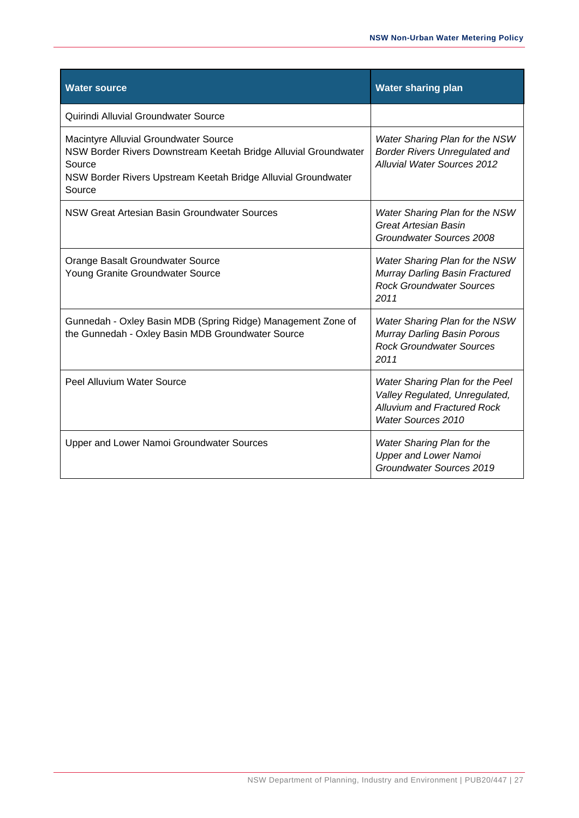| <b>Water source</b>                                                                                                                                                                           | <b>Water sharing plan</b>                                                                                                            |
|-----------------------------------------------------------------------------------------------------------------------------------------------------------------------------------------------|--------------------------------------------------------------------------------------------------------------------------------------|
| Quirindi Alluvial Groundwater Source                                                                                                                                                          |                                                                                                                                      |
| Macintyre Alluvial Groundwater Source<br>NSW Border Rivers Downstream Keetah Bridge Alluvial Groundwater<br>Source<br>NSW Border Rivers Upstream Keetah Bridge Alluvial Groundwater<br>Source | Water Sharing Plan for the NSW<br><b>Border Rivers Unregulated and</b><br><b>Alluvial Water Sources 2012</b>                         |
| NSW Great Artesian Basin Groundwater Sources                                                                                                                                                  | Water Sharing Plan for the NSW<br><b>Great Artesian Basin</b><br>Groundwater Sources 2008                                            |
| Orange Basalt Groundwater Source<br>Young Granite Groundwater Source                                                                                                                          | Water Sharing Plan for the NSW<br>Murray Darling Basin Fractured<br><b>Rock Groundwater Sources</b><br>2011                          |
| Gunnedah - Oxley Basin MDB (Spring Ridge) Management Zone of<br>the Gunnedah - Oxley Basin MDB Groundwater Source                                                                             | Water Sharing Plan for the NSW<br>Murray Darling Basin Porous<br><b>Rock Groundwater Sources</b><br>2011                             |
| Peel Alluvium Water Source                                                                                                                                                                    | Water Sharing Plan for the Peel<br>Valley Regulated, Unregulated,<br><b>Alluvium and Fractured Rock</b><br><b>Water Sources 2010</b> |
| Upper and Lower Namoi Groundwater Sources                                                                                                                                                     | <b>Water Sharing Plan for the</b><br><b>Upper and Lower Namoi</b><br>Groundwater Sources 2019                                        |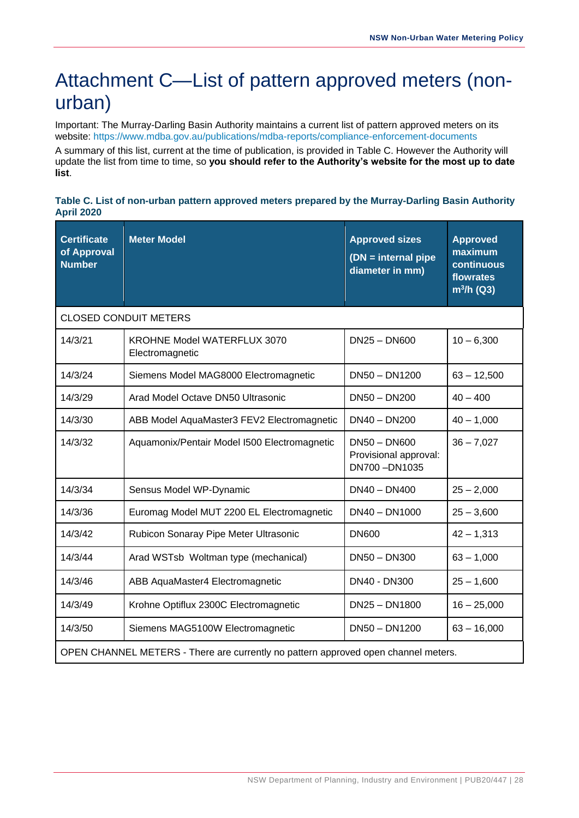# <span id="page-31-0"></span>Attachment C—List of pattern approved meters (nonurban)

Important: The Murray-Darling Basin Authority maintains a current list of pattern approved meters on its website:<https://www.mdba.gov.au/publications/mdba-reports/compliance-enforcement-documents>

A summary of this list, current at the time of publication, is provided in Table C. However the Authority will update the list from time to time, so **you should refer to the Authority's website for the most up to date list**.

#### **Table C. List of non-urban pattern approved meters prepared by the Murray-Darling Basin Authority April 2020**

| <b>Certificate</b><br>of Approval<br><b>Number</b>                                 | <b>Meter Model</b>                                    | <b>Approved sizes</b><br>$(DN = internal pipe$<br>diameter in mm) | <b>Approved</b><br>maximum<br>continuous<br>flowrates<br>$m^3/h$ (Q3) |
|------------------------------------------------------------------------------------|-------------------------------------------------------|-------------------------------------------------------------------|-----------------------------------------------------------------------|
|                                                                                    | <b>CLOSED CONDUIT METERS</b>                          |                                                                   |                                                                       |
| 14/3/21                                                                            | <b>KROHNE Model WATERFLUX 3070</b><br>Electromagnetic | $DN25 - DN600$                                                    | $10 - 6,300$                                                          |
| 14/3/24                                                                            | Siemens Model MAG8000 Electromagnetic                 | DN50 - DN1200                                                     | $63 - 12,500$                                                         |
| 14/3/29                                                                            | Arad Model Octave DN50 Ultrasonic                     | DN50 - DN200                                                      | $40 - 400$                                                            |
| 14/3/30                                                                            | ABB Model AquaMaster3 FEV2 Electromagnetic            | $DN40 - DN200$                                                    | $40 - 1,000$                                                          |
| 14/3/32                                                                            | Aquamonix/Pentair Model I500 Electromagnetic          | $DN50 - DN600$<br>Provisional approval:<br>DN700-DN1035           | $36 - 7,027$                                                          |
| 14/3/34                                                                            | Sensus Model WP-Dynamic                               | $DN40 - DN400$                                                    | $25 - 2,000$                                                          |
| 14/3/36                                                                            | Euromag Model MUT 2200 EL Electromagnetic             | DN40 - DN1000                                                     | $25 - 3,600$                                                          |
| 14/3/42                                                                            | Rubicon Sonaray Pipe Meter Ultrasonic                 | <b>DN600</b>                                                      | $42 - 1,313$                                                          |
| 14/3/44                                                                            | Arad WSTsb Woltman type (mechanical)                  | $DN50 - DN300$                                                    | $63 - 1,000$                                                          |
| 14/3/46                                                                            | ABB AquaMaster4 Electromagnetic                       | DN40 - DN300                                                      | $25 - 1,600$                                                          |
| 14/3/49                                                                            | Krohne Optiflux 2300C Electromagnetic                 | DN25 - DN1800                                                     | $16 - 25,000$                                                         |
| 14/3/50                                                                            | Siemens MAG5100W Electromagnetic                      | DN50 - DN1200                                                     | $63 - 16,000$                                                         |
| OPEN CHANNEL METERS - There are currently no pattern approved open channel meters. |                                                       |                                                                   |                                                                       |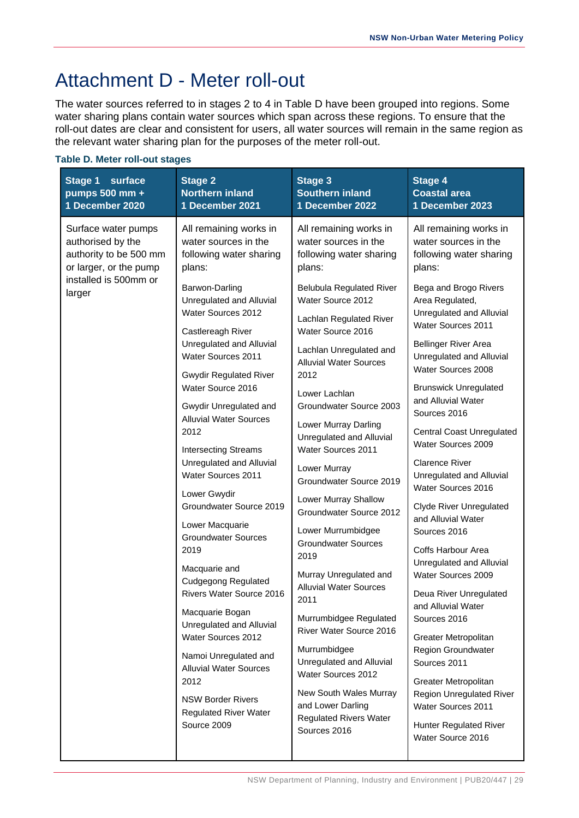# <span id="page-32-0"></span>Attachment D - Meter roll-out

The water sources referred to in stages 2 to 4 in Table D have been grouped into regions. Some water sharing plans contain water sources which span across these regions. To ensure that the roll-out dates are clear and consistent for users, all water sources will remain in the same region as the relevant water sharing plan for the purposes of the meter roll-out.

| <b>Stage 1</b><br>surface<br>pumps 500 mm +<br>1 December 2020                                                                  | <b>Stage 2</b><br><b>Northern inland</b><br>1 December 2021                                          | <b>Stage 3</b><br><b>Southern inland</b><br>1 December 2022                                                                 | <b>Stage 4</b><br><b>Coastal area</b><br>1 December 2023                                                    |
|---------------------------------------------------------------------------------------------------------------------------------|------------------------------------------------------------------------------------------------------|-----------------------------------------------------------------------------------------------------------------------------|-------------------------------------------------------------------------------------------------------------|
| Surface water pumps<br>authorised by the<br>authority to be 500 mm<br>or larger, or the pump<br>installed is 500mm or<br>larger | All remaining works in<br>water sources in the<br>following water sharing<br>plans:                  | All remaining works in<br>water sources in the<br>following water sharing<br>plans:                                         | All remaining works in<br>water sources in the<br>following water sharing<br>plans:                         |
|                                                                                                                                 | Barwon-Darling<br>Unregulated and Alluvial<br>Water Sources 2012                                     | <b>Belubula Regulated River</b><br>Water Source 2012<br>Lachlan Regulated River                                             | Bega and Brogo Rivers<br>Area Regulated,<br>Unregulated and Alluvial<br>Water Sources 2011                  |
|                                                                                                                                 | Castlereagh River<br>Unregulated and Alluvial<br>Water Sources 2011<br><b>Gwydir Regulated River</b> | Water Source 2016<br>Lachlan Unregulated and<br><b>Alluvial Water Sources</b><br>2012                                       | <b>Bellinger River Area</b><br>Unregulated and Alluvial<br>Water Sources 2008                               |
|                                                                                                                                 | Water Source 2016<br>Gwydir Unregulated and<br><b>Alluvial Water Sources</b>                         | Lower Lachlan<br>Groundwater Source 2003<br>Lower Murray Darling                                                            | <b>Brunswick Unregulated</b><br>and Alluvial Water<br>Sources 2016                                          |
|                                                                                                                                 | 2012<br><b>Intersecting Streams</b><br>Unregulated and Alluvial<br>Water Sources 2011                | Unregulated and Alluvial<br>Water Sources 2011<br>Lower Murray<br>Groundwater Source 2019                                   | <b>Central Coast Unregulated</b><br>Water Sources 2009<br><b>Clarence River</b><br>Unregulated and Alluvial |
|                                                                                                                                 | Lower Gwydir<br>Groundwater Source 2019<br>Lower Macquarie<br><b>Groundwater Sources</b>             | Lower Murray Shallow<br>Groundwater Source 2012<br>Lower Murrumbidgee                                                       | Water Sources 2016<br>Clyde River Unregulated<br>and Alluvial Water<br>Sources 2016                         |
|                                                                                                                                 | 2019<br>Macquarie and<br><b>Cudgegong Regulated</b><br>Rivers Water Source 2016                      | <b>Groundwater Sources</b><br>2019<br>Murray Unregulated and<br><b>Alluvial Water Sources</b>                               | Coffs Harbour Area<br>Unregulated and Alluvial<br>Water Sources 2009<br>Deua River Unregulated              |
|                                                                                                                                 | Macquarie Bogan<br>Unregulated and Alluvial<br>Water Sources 2012                                    | 2011<br>Murrumbidgee Regulated<br>River Water Source 2016<br>Murrumbidgee<br>Unregulated and Alluvial<br>Water Sources 2012 | and Alluvial Water<br>Sources 2016<br>Greater Metropolitan                                                  |
|                                                                                                                                 | Namoi Unregulated and<br><b>Alluvial Water Sources</b><br>2012                                       |                                                                                                                             | Region Groundwater<br>Sources 2011<br>Greater Metropolitan                                                  |
|                                                                                                                                 | <b>NSW Border Rivers</b><br><b>Regulated River Water</b><br>Source 2009                              | New South Wales Murray<br>and Lower Darling<br><b>Regulated Rivers Water</b><br>Sources 2016                                | <b>Region Unregulated River</b><br>Water Sources 2011<br><b>Hunter Regulated River</b><br>Water Source 2016 |

#### **Table D. Meter roll-out stages**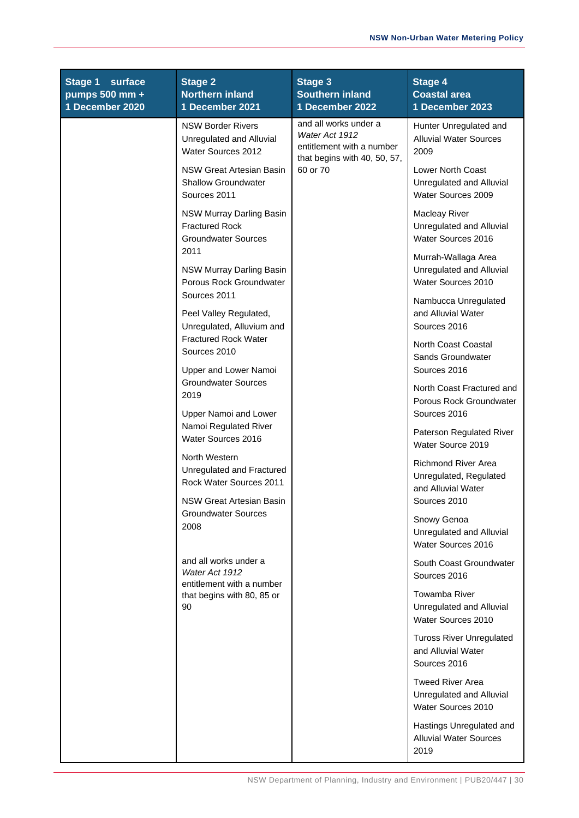| <b>Stage 1</b><br>surface<br>pumps 500 mm +<br>1 December 2020 | <b>Stage 2</b><br><b>Northern inland</b><br>1 December 2021                             | Stage 3<br><b>Southern inland</b><br>1 December 2022                                                 | <b>Stage 4</b><br><b>Coastal area</b><br>1 December 2023                      |
|----------------------------------------------------------------|-----------------------------------------------------------------------------------------|------------------------------------------------------------------------------------------------------|-------------------------------------------------------------------------------|
|                                                                | <b>NSW Border Rivers</b><br>Unregulated and Alluvial<br>Water Sources 2012              | and all works under a<br>Water Act 1912<br>entitlement with a number<br>that begins with 40, 50, 57, | Hunter Unregulated and<br><b>Alluvial Water Sources</b><br>2009               |
|                                                                | NSW Great Artesian Basin<br><b>Shallow Groundwater</b><br>Sources 2011                  | 60 or 70                                                                                             | <b>Lower North Coast</b><br>Unregulated and Alluvial<br>Water Sources 2009    |
|                                                                | NSW Murray Darling Basin<br><b>Fractured Rock</b><br><b>Groundwater Sources</b><br>2011 |                                                                                                      | <b>Macleay River</b><br>Unregulated and Alluvial<br>Water Sources 2016        |
|                                                                | NSW Murray Darling Basin<br>Porous Rock Groundwater<br>Sources 2011                     |                                                                                                      | Murrah-Wallaga Area<br>Unregulated and Alluvial<br>Water Sources 2010         |
|                                                                | Peel Valley Regulated,<br>Unregulated, Alluvium and                                     |                                                                                                      | Nambucca Unregulated<br>and Alluvial Water<br>Sources 2016                    |
|                                                                | <b>Fractured Rock Water</b><br>Sources 2010<br>Upper and Lower Namoi                    |                                                                                                      | North Coast Coastal<br>Sands Groundwater<br>Sources 2016                      |
|                                                                | <b>Groundwater Sources</b><br>2019<br>Upper Namoi and Lower                             |                                                                                                      | North Coast Fractured and<br>Porous Rock Groundwater<br>Sources 2016          |
|                                                                | Namoi Regulated River<br>Water Sources 2016                                             |                                                                                                      | Paterson Regulated River<br>Water Source 2019                                 |
|                                                                | North Western<br>Unregulated and Fractured<br>Rock Water Sources 2011                   |                                                                                                      | Richmond River Area<br>Unregulated, Regulated<br>and Alluvial Water           |
|                                                                | NSW Great Artesian Basin<br><b>Groundwater Sources</b><br>2008                          |                                                                                                      | Sources 2010<br>Snowy Genoa<br>Unregulated and Alluvial<br>Water Sources 2016 |
|                                                                | and all works under a<br>Water Act 1912<br>entitlement with a number                    |                                                                                                      | South Coast Groundwater<br>Sources 2016                                       |
|                                                                | that begins with 80, 85 or<br>90                                                        |                                                                                                      | Towamba River<br>Unregulated and Alluvial<br>Water Sources 2010               |
|                                                                |                                                                                         |                                                                                                      | <b>Tuross River Unregulated</b><br>and Alluvial Water<br>Sources 2016         |
|                                                                |                                                                                         |                                                                                                      | <b>Tweed River Area</b><br>Unregulated and Alluvial<br>Water Sources 2010     |
|                                                                |                                                                                         |                                                                                                      | Hastings Unregulated and<br><b>Alluvial Water Sources</b><br>2019             |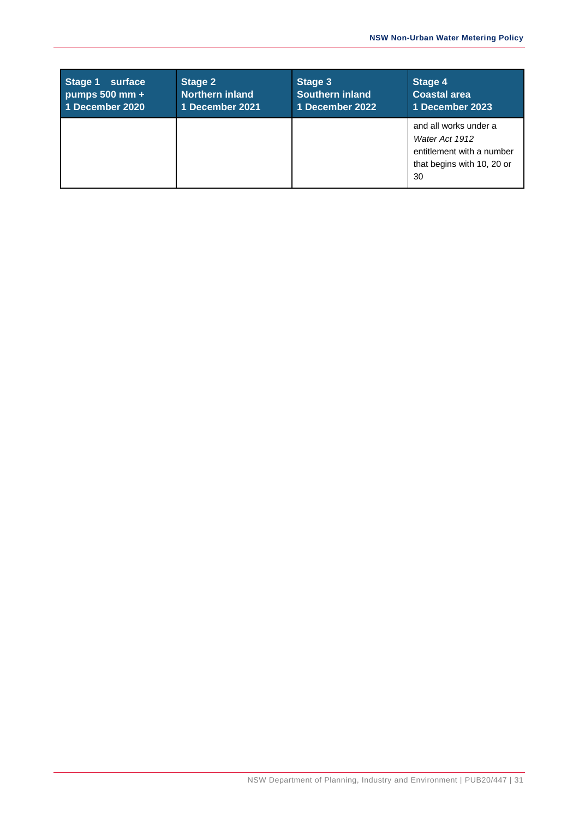| Stage 1<br>surface<br>pumps $500$ mm $+$<br>1 December 2020 | <b>Stage 2</b><br><b>Northern inland</b><br>1 December 2021 | Stage 3<br>Southern inland<br>1 December 2022 | Stage 4<br><b>Coastal area</b><br>1 December 2023                                                        |
|-------------------------------------------------------------|-------------------------------------------------------------|-----------------------------------------------|----------------------------------------------------------------------------------------------------------|
|                                                             |                                                             |                                               | and all works under a<br>Water Act 1912<br>entitlement with a number<br>that begins with 10, 20 or<br>30 |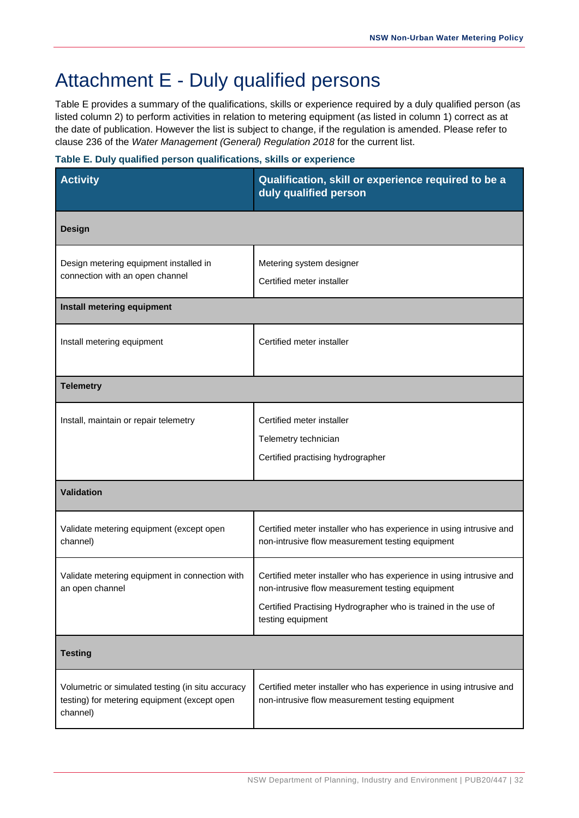# <span id="page-35-0"></span>Attachment E - Duly qualified persons

Table E provides a summary of the qualifications, skills or experience required by a duly qualified person (as listed column 2) to perform activities in relation to metering equipment (as listed in column 1) correct as at the date of publication. However the list is subject to change, if the regulation is amended. Please refer to clause 236 of the *Water Management (General) Regulation 2018* for the current list.

#### **Table E. Duly qualified person qualifications, skills or experience**

| <b>Activity</b>                                                                                               | Qualification, skill or experience required to be a<br>duly qualified person                                                                                                                                   |
|---------------------------------------------------------------------------------------------------------------|----------------------------------------------------------------------------------------------------------------------------------------------------------------------------------------------------------------|
| <b>Design</b>                                                                                                 |                                                                                                                                                                                                                |
| Design metering equipment installed in<br>connection with an open channel                                     | Metering system designer<br>Certified meter installer                                                                                                                                                          |
| Install metering equipment                                                                                    |                                                                                                                                                                                                                |
| Install metering equipment                                                                                    | Certified meter installer                                                                                                                                                                                      |
| <b>Telemetry</b>                                                                                              |                                                                                                                                                                                                                |
| Install, maintain or repair telemetry                                                                         | Certified meter installer<br>Telemetry technician<br>Certified practising hydrographer                                                                                                                         |
| <b>Validation</b>                                                                                             |                                                                                                                                                                                                                |
| Validate metering equipment (except open<br>channel)                                                          | Certified meter installer who has experience in using intrusive and<br>non-intrusive flow measurement testing equipment                                                                                        |
| Validate metering equipment in connection with<br>an open channel                                             | Certified meter installer who has experience in using intrusive and<br>non-intrusive flow measurement testing equipment<br>Certified Practising Hydrographer who is trained in the use of<br>testing equipment |
| <b>Testing</b>                                                                                                |                                                                                                                                                                                                                |
| Volumetric or simulated testing (in situ accuracy<br>testing) for metering equipment (except open<br>channel) | Certified meter installer who has experience in using intrusive and<br>non-intrusive flow measurement testing equipment                                                                                        |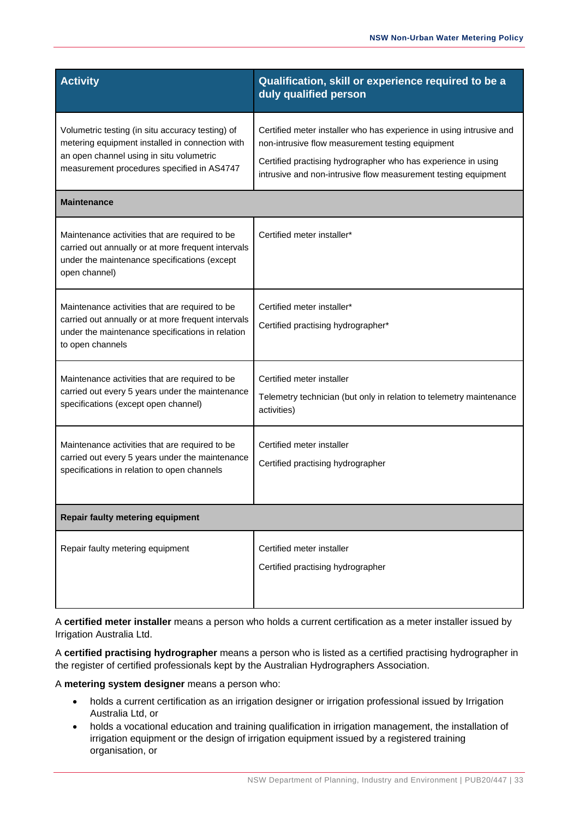| <b>Activity</b>                                                                                                                                                                               | Qualification, skill or experience required to be a<br>duly qualified person                                                                                                                                                                               |
|-----------------------------------------------------------------------------------------------------------------------------------------------------------------------------------------------|------------------------------------------------------------------------------------------------------------------------------------------------------------------------------------------------------------------------------------------------------------|
| Volumetric testing (in situ accuracy testing) of<br>metering equipment installed in connection with<br>an open channel using in situ volumetric<br>measurement procedures specified in AS4747 | Certified meter installer who has experience in using intrusive and<br>non-intrusive flow measurement testing equipment<br>Certified practising hydrographer who has experience in using<br>intrusive and non-intrusive flow measurement testing equipment |
| <b>Maintenance</b>                                                                                                                                                                            |                                                                                                                                                                                                                                                            |
| Maintenance activities that are required to be<br>carried out annually or at more frequent intervals<br>under the maintenance specifications (except<br>open channel)                         | Certified meter installer*                                                                                                                                                                                                                                 |
| Maintenance activities that are required to be<br>carried out annually or at more frequent intervals<br>under the maintenance specifications in relation<br>to open channels                  | Certified meter installer*<br>Certified practising hydrographer*                                                                                                                                                                                           |
| Maintenance activities that are required to be<br>carried out every 5 years under the maintenance<br>specifications (except open channel)                                                     | Certified meter installer<br>Telemetry technician (but only in relation to telemetry maintenance<br>activities)                                                                                                                                            |
| Maintenance activities that are required to be<br>carried out every 5 years under the maintenance<br>specifications in relation to open channels                                              | Certified meter installer<br>Certified practising hydrographer                                                                                                                                                                                             |
| <b>Repair faulty metering equipment</b>                                                                                                                                                       |                                                                                                                                                                                                                                                            |
| Repair faulty metering equipment                                                                                                                                                              | Certified meter installer<br>Certified practising hydrographer                                                                                                                                                                                             |

A **certified meter installer** means a person who holds a current certification as a meter installer issued by Irrigation Australia Ltd.

A **certified practising hydrographer** means a person who is listed as a certified practising hydrographer in the register of certified professionals kept by the Australian Hydrographers Association.

A **metering system designer** means a person who:

- holds a current certification as an irrigation designer or irrigation professional issued by Irrigation Australia Ltd, or
- holds a vocational education and training qualification in irrigation management, the installation of irrigation equipment or the design of irrigation equipment issued by a registered training organisation, or